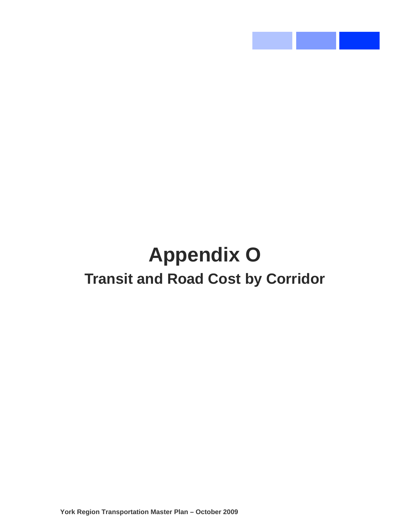# **Appendix O Transit and Road Cost by Corridor**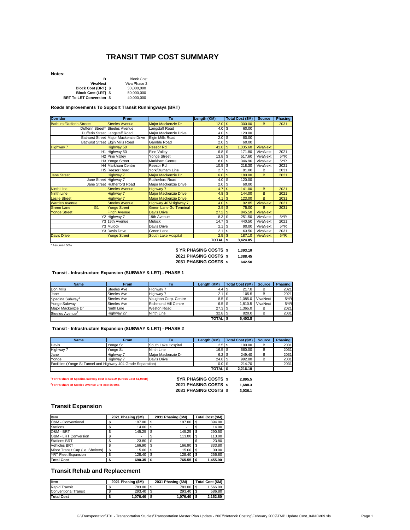#### **TRANSIT TMP COST SUMMARY**

**Notes:**

| R                          | <b>Block Cost</b> |
|----------------------------|-------------------|
| VivaNext                   | Viva Phase 2      |
| <b>Block Cost (BRT) \$</b> | 30.000.000        |
| Block Cost (LRT) \$        | 50.000.000        |
| BRT To LRT Conversion \$   | 40.000.000        |

**Roads Improvements To Support Transit Runningways (BRT)**

| <b>Corridor</b>                     | From                                    | To                            | Length (KM)      | <b>Total Cost (\$M)</b>      | <b>Source</b>   | Phasing |
|-------------------------------------|-----------------------------------------|-------------------------------|------------------|------------------------------|-----------------|---------|
| <b>Bathurst/Dufferin Streets</b>    | <b>Steeles Avenue</b>                   | Major Mackenzie Dr            | 12.0             | $\mathbf{\hat{s}}$<br>300.00 | B               | 2031    |
|                                     | Dufferin Street* Steeles Avenue         | Langstaff Road                | 4.0              | -S<br>60.00                  |                 |         |
|                                     | Dufferin Street Langstaff Road          | Major Mackenzie Drive         | 4.0              | $\sqrt{3}$<br>120.00         |                 |         |
|                                     | Bathurst Street Major Mackenzie Drive   | Elgin Mills Road              | 2.0              | \$<br>60.00                  |                 |         |
|                                     | <b>Bathurst Street Elgin Mills Road</b> | Gamble Road                   | 2.0 <sup>5</sup> | 60.00                        |                 |         |
| <b>Highway 7</b>                    | Highway 50                              | <b>Reesor Rd</b>              | 41.8             | <b>S</b><br>1,335.60         | <b>VivaNext</b> |         |
|                                     | H1 Highway 50                           | Pine Valley                   | 6.8 <sup>8</sup> | 171.80                       | VivaNext        | 2021    |
|                                     | H2 Pine Valley                          | Yonge Street                  | 13.8             | \$<br>517.60                 | VivaNext        | 5YR     |
|                                     | H3 Yonge Street                         | Markham Centre                | $8.0$ \$         | 346.90                       | VivaNext        | 5YR     |
|                                     | <b>H4 Markham Centre</b>                | Reesor Rd                     | $10.5$ \$        | 218.30                       | VivaNext        | 2021    |
|                                     | H5 Reesor Road                          | York/Durham Line              | 2.7              | $\mathbf{\hat{s}}$<br>81.00  | B               | 2031    |
| <b>Jane Street</b>                  | <b>Highway 7</b>                        | Major Mackenzie Dr            | 6.0              | $\mathfrak{s}$<br>180.00     | B               | 2021    |
| Jane Street Highway 7               |                                         | Rutherford Road               | 4.0              | -S<br>120.00                 |                 |         |
|                                     | Jane Street Rutherford Road             | Major Mackenzie Drive         | $2.0$ \$         | 60.00                        |                 |         |
| <b>Ninth Line</b>                   | <b>Steeles Avenue</b>                   | Highway 7                     | 4.7              | $\mathfrak{s}$<br>141.00     | B               | 2021    |
| <b>Ninth Line</b>                   | <b>Highway 7</b>                        | <b>Major Mackenzie Drive</b>  | 4.8              | $\mathbf{s}$<br>144.00       | B               | 2021    |
| <b>Leslie Street</b>                | <b>Highway 7</b>                        | <b>Major Mackenzie Drive</b>  | 4.1              | $\mathbf{s}$<br>123.00       | B               | 2031    |
| <b>Warden Avenue</b>                | <b>Steeles Avenue</b>                   | Highway 407/Highway 7         | 4.0              | s<br>92.85                   | <b>VivaNext</b> | 2021    |
| <b>Green Lane</b><br>G <sub>1</sub> | <b>Yonge Street</b>                     | <b>Green Lane Go Terminal</b> | 2.5              | $\mathbf{\hat{s}}$<br>75.00  | B               | 2031    |
| <b>Yonge Street</b>                 | <b>Finch Avenue</b>                     | <b>Davis Drive</b>            | 27.2             | -\$<br>845.50                | <b>VivaNext</b> |         |
|                                     | Y2 Highway 7                            | 19th Avenue                   | 8.3              | <b>S</b><br>251.50           | VivaNext        | 5YR     |
|                                     | Y3 19th Avenue                          | Mulock                        | 14.7             | -S<br>440.50                 | VivaNext        | 2021    |
|                                     | Y3 Mulock                               | Davis Drive                   | 2.1              | \$<br>90.00                  | VivaNext        | 5YR     |
|                                     | <b>Y3 Davis Drive</b>                   | Green Lane                    | 2.1              | \$<br>63.50                  | VivaNext        | 2031    |
| <b>Davis Drive</b>                  | <b>Yonge Street</b>                     | South Lake Hospital           | 2.5              | <b>S</b><br>187.10           | <b>VivaNext</b> | 5YR     |
|                                     |                                         |                               | <b>TOTAL</b> \$  | 3,424.05                     |                 |         |

\* Assumed 50%

| 5 YR PHASING COSTS \$ | 1.393.10 |
|-----------------------|----------|
| 2021 PHASING COSTS \$ | 1.388.45 |
| 2031 PHASING COSTS \$ | 642.50   |

#### **Transit - Infrastructure Expansion (SUBWAY & LRT) - PHASE 1**

| <b>Name</b>                 | <b>From</b>        | Τo                          | Lenath (KM)      | <b>Total Cost (\$M)</b> | <b>Source</b> | <b>Phasing</b> |
|-----------------------------|--------------------|-----------------------------|------------------|-------------------------|---------------|----------------|
| Don Mills                   | <b>Steeles Ave</b> | Highway                     | 4.41             | 217.8                   | в             | 2021           |
| Jane                        | Steeles Ave        | Highway 7                   | $2.1$ \$         | 105.5                   | в             | 2021           |
| Spadina Subway              | Steeles Ave        | Vaughan Corp. Centre        | $8.5$ \$         | 1.085.0                 | VivaNext      | 5YR            |
| Yonge Subway                | Steeles Ave        | <b>Richmond Hill Centre</b> | 6.5 <sup>8</sup> | 1.810.5                 | VivaNext      | 5YR            |
| Maior Mackenzie Dr          | Ninth Line         | <b>Weston Road</b>          | $27.3$ \$        | 1.365.0                 | в             | 2021           |
| Steeles Avenue <sup>4</sup> | Highway 27         | Ninth Line                  | $32.8$ \$        | 820.0                   | в             | 2031           |
|                             |                    |                             | <b>TOTAL</b> S   | 5.403.8                 |               |                |

 **Transit - Infrastructure Expansion (SUBWAY & LRT) - PHASE 2**

| <b>Name</b>                                                   | From      | To                  | Lenath (KM)  | <b>Total Cost (\$M)</b> | <b>Source</b> | Phasing |
|---------------------------------------------------------------|-----------|---------------------|--------------|-------------------------|---------------|---------|
| Davis                                                         | Yonge St  | South Lake Hospital | 2.5          | 100.00                  | в             | 2031    |
| Highway 7                                                     | Yonge St  | Ninth Line          | 16.5         | 660.00                  | в             | 2031    |
| Jane                                                          | Highway 7 | Maior Mackenzie Dr  | 6.2          | 249.40                  | в             | 2031    |
| Yonge                                                         | Highway 7 | Davis Drive         | 24.8         | 992.00                  | в             | 2031    |
| Facilities (Yonge St Tunnel and Highway 404 Grade Separation) |           | 0.0 <sup>5</sup>    | 214.70       |                         | 2031          |         |
|                                                               |           |                     | <b>TOTAL</b> | 2.216.10                |               |         |

**1 York's share of Spadina subway cost is \$391M (Gross Cost \$1,085B) 5YR PHASING COSTS \$ 2,895.5 2 York's share of Steeles Avenue LRT cost is 50% 2021 PHASING COSTS \$ 1,688.3**

**2031 PHASING COSTS \$ 3,036.1**

#### **Transit Expansion**

| Item                              |    | 2021 Phasing (\$M) | 2031 Phasing (\$M) |    | Total Cost (\$M) |
|-----------------------------------|----|--------------------|--------------------|----|------------------|
| O&M - Conventional                |    | 197.00             | 197.00             |    | 394.00           |
| <b>Stations</b>                   |    | 14.00              |                    |    | 14.00            |
| O&M - BRT                         |    | 145.25             | 145.25             |    | 290.50           |
| O&M - LRT Conversion              |    |                    | 113.00             | S  | 113.00           |
| <b>Stations BRT</b>               | c  | 23.80              | \$                 |    | 23.80            |
| <b>Vehicles BRT</b>               |    | 166.90             | 166.90             | S  | 333.80           |
| Minor Transit Cap (i.e. Shelters) | \$ | 15.00              | \$<br>15.00        | S  | 30.00            |
| <b>YRT</b> Fleet Expansion        |    | 128.40             | \$<br>128.40       | \$ | 256.80           |
| <b>Total Cost</b>                 |    | 690.35             | 765.55             |    | 1.455.90         |

#### **Transit Rehab and Replacement**

| Item                        | 2021 Phasing (\$M) |              | 2031 Phasing (SM) | Total Cost (\$M) |          |  |
|-----------------------------|--------------------|--------------|-------------------|------------------|----------|--|
| <b>Rapid Transit</b>        |                    | 783.00 \$    | 783.00 \$         |                  | 1.566.00 |  |
| <b>Conventional Transit</b> |                    | 293.40 \$    | $293.40$ \$       |                  | 586.80   |  |
| <b>Total Cost</b>           |                    | $1.076.40$ S | $1.076.40$ S      |                  | 2.152.80 |  |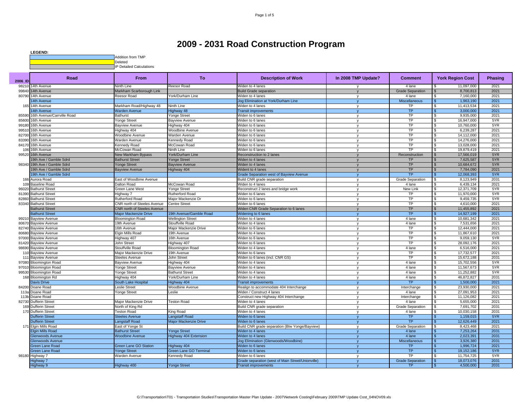| <b>LEGEND:</b>                       |
|--------------------------------------|
| Addition from TMP                    |
| Deleted                              |
| <b>IP Detailed Calculations</b><br>. |

| 2006 ID | Road                         | <b>From</b>                        | <b>To</b>                     | <b>Description of Work</b>                        | In 2008 TMP Update? | <b>Comment</b>          | <b>York Region Cost</b> | <b>Phasing</b> |
|---------|------------------------------|------------------------------------|-------------------------------|---------------------------------------------------|---------------------|-------------------------|-------------------------|----------------|
| 98210   | 14th Avenue                  | Ninth Line                         | Reesor Road                   | Widen to 4 lanes                                  |                     | 4 lane                  | 11,097,000              | 2021           |
| 99840   | 14th Avenue                  | Markham Scarborough Link           |                               | <b>Build Grade separation</b>                     |                     | <b>Grade Separation</b> | 8,700,813               | 2021           |
|         | 80790 14th Avenue            | Reesor Road                        | York/Durham Line              | Widen to 4 lanes                                  | $\mathsf{v}$        | 4 lane                  | 7,160,000               | 2021           |
|         | <b>4th Avenue</b>            |                                    |                               | Jog Elimination at York/Durham Line               |                     | Miscellaneous           | 1,963,190               | 2021           |
| 165     | 14th Avenue                  | Markham Road/Highway 48            | Ninth Line                    | Widen to 4 lanes                                  | v                   | TP                      | 11,413,534              | 2021           |
|         | 14th Avenue                  | <b>Narden Avenue</b>               | Highway 48                    | <b>Transit improvements</b>                       |                     | <b>TP</b>               | 3,000,000               | 2021           |
| 85590   | 16th Avenue/Carrville Road   | Bathurst                           | Yonge Street                  | <b>Niden to 6 lanes</b>                           | v                   | TP                      | 9,935,000               | 2021           |
| 85600   | 16th Avenue                  | Yonge Street                       | <b>Bayview Avenue</b>         | Widen to 6 lanes                                  | $\mathsf{v}$        | <b>TP</b>               | 16,947,000              | 5YR            |
| 99180   | 16th Avenue                  | <b>Bayview Avenue</b>              | lighway 404                   | Widen to 6 lanes                                  | v                   | <b>TP</b>               | 10,760,000              | 5YR            |
| 99510   | 16th Avenue                  | Highway 404                        | Woodbine Avenue               | Widen to 6 lanes                                  | $\mathsf{v}$        | <b>TP</b>               | 6,239,287               | 2021           |
| 82700   | 16th Avenue                  | Woodbine Avenue                    | Warden Avenue                 | Widen to 6 lanes                                  | v                   | <b>TP</b>               | 14.112.000              | 2021           |
| 83390   | 16th Avenue                  | Warden Avenue                      | Kennedy Road                  | Widen to 6 lanes                                  | $\mathbf{v}$        | <b>TP</b>               | 14.276.000              | 2021           |
| 84170   | 16th Avenue                  | Cennedy Road                       | McCowan Road                  | Widen to 6 lanes                                  | v                   | <b>TP</b>               | 13,028,000              | 2021           |
| 106     | 16th Avenue                  | McCowan Road                       | Ninth Line                    | Widen to 6 lanes                                  | $\mathsf{v}$        | TP                      | 19,879,419<br>-S        | 2021           |
| 99520   | 16th Avenue                  | New Markham Bypass                 | York/Durham Line              | Reconstruction to 2 lanes                         |                     | Reconstruction          | 17,566,019              | 5YR            |
|         | 19th Ave / Gamble Sdrd       | <b>Bathurst Street</b>             | Yonge Street                  | Widen to 4 lanes                                  |                     | <b>TP</b>               | 7,625,587               | 5YR            |
|         | 98340 19th Ave / Gamble Sdrd | Yonge Street                       | <b>Bayview Avenue</b>         | Widen to 4 lanes                                  |                     | <b>TP</b>               | 10,684,672              | 5YR            |
|         | 19th Ave / Gamble Sdrd       | <b>Bayview Avenue</b>              | Highway 404                   | Wident to 4 lanes                                 |                     | TP                      | 7,784,090               | 2021           |
|         | 19th Ave / Gamble Sdrd       |                                    |                               | <b>Grade Separation west of Bayview Avenue</b>    |                     | TP                      | 12,068,393              | 5YR            |
|         | 166 Aurora Road              | East of Woodbine Avenue            |                               | Build CNR grade separation                        | $\mathsf{v}$        | <b>Grade Separation</b> | 8,123,949               | 2031           |
|         | 109 Baseline Road            | Dalton Road                        | McCowan Road                  | Widen to 4 lanes                                  | $\mathsf{v}$        | 4 lane                  | 6,439,134               | 2021           |
|         | 96020 Bathurst Street        | <b>Green Lane West</b>             | Yonge Street                  | Reconstruct 2 lanes and bridge work               | $\mathsf{v}$        | <b>New Link</b>         | 12,371,709              | 5YR            |
|         | 81390 Bathurst Street        | Highway 7                          | Rutherford Road               | Widen to 6 lanes                                  | v                   | TP                      | 11,970,000              | 5YR            |
| 82860   | <b>Bathurst Street</b>       | Rutherford Road                    | Maior Mackenzie Dr            | Widen to 6 lanes                                  | $\mathsf{v}$        | TP                      | 9,459,735               | 5YR            |
|         | 83340 Bathurst Street        | <b>CNR north of Steeles Avenue</b> | Centre Street                 | Widen to 6 lanes                                  |                     | <b>TP</b>               | 4,610,000               | 2021           |
|         | <b>Bathurst Street</b>       | <b>CNR north of Steeles Avenue</b> |                               | Widen CNR Grade Separation to 6 lanes             |                     | <b>TP</b>               | 11,455,892              | 2021           |
|         | <b>Bathurst Street</b>       | <b>Major Mackenzie Drive</b>       | 19th Avenue/Gamble Road       | Widening to 6 lanes                               |                     | <b>TP</b>               | 14,927,199              | 2021           |
|         | 99210 Bayview Avenue         | <b>Bloomington Road</b>            | <b>Wellington Street</b>      | Widen to 4 lanes                                  | $\mathsf{v}$        | 4 lane                  | 10,681,342              | 2021           |
| 80670   | <b>Bayview Avenue</b>        | 19th Avenue                        | Stouffville Road              | Widen to 4 lanes                                  | v                   | 4 lane                  | 7,531,656               | 2021           |
|         | 82740 Bayview Avenue         | 16th Avenue                        | Major Mackenzie Drive         | Widen to 6 lanes                                  | v                   | <b>TP</b>               | 12.444.000              | 2021           |
|         | 80680 Bayview Avenue         | Elgin Mills Road                   | 19th Avenue                   | Widen to 4 lanes                                  | $\mathsf{v}$        | <b>TP</b>               | 11,867,610              | 2021           |
| 97000   | <b>Bayview Avenue</b>        | lighway 407                        | 16th Avenue                   | <b>Niden to 6 lanes</b>                           | v                   | <b>TP</b>               | 9,059,130               | 5YR            |
|         | 81420 Bayview Avenue         | John Street                        | Highway 407                   | Widen to 6 lanes                                  | v                   | TP                      | 28,092,176              | 2021           |
| 98690   | <b>Bayview Avenue</b>        | Stouffville Road                   | <b>Bloomington Road</b>       | Widen to 4 lanes                                  | v                   | 4 lane                  | 6.516.000               | 2021           |
|         | 110 Bayview Avenue           | Major Mackenzie Drive              | 19th Avenue                   | Widen to 6 lanes                                  | $\mathbf v$         | TP                      | 17,732,577              | 2021           |
| 111     | <b>Bayview Avenue</b>        | <b>Steeles Avenue</b>              | John Street                   | Widen to 6 lanes (incl. CNR GS)                   | v                   | <b>TP</b>               | 15,672,188              | 2031           |
|         | 97080 Bloomington Road       | <b>Bayview Avenue</b>              | Highway 404                   | Widen to 4 lanes                                  | $\mathbf{v}$        | 4 lane                  | 15,702,556              | 5YR            |
|         | 97010 Bloomington Road       | Yonge Street                       | <b>Bayview Avenue</b>         | Widen to 4 lanes                                  | $\mathsf{v}$        | 4 lane                  | 11,567,673              | 5YR            |
|         | 99530 Bloomington Road       | Yonge Street                       | <b>Bathurst Street</b>        | Widen to 4 lanes                                  | $\mathsf{v}$        | 4 lane                  | 11,252,882<br>-S        | 5YR            |
|         | 168 Bloomington Rd           | Highway 404                        | York/Durham Line              | Widen to 4 lanes                                  | v                   | 4 lane                  | 46,872,827              | 2031           |
|         | <b>Javis Drive</b>           | South Lake Hospital                | lighway 404                   | <b>Transit improvements</b>                       | $\mathbf{v}$        | <b>TP</b>               | 1.500.000               | 2021           |
|         | 84200 Doane Road             | eslie Street                       | Woodbine Avenue               | Realign to accommodate 404 Interchange            | v                   | Interchange             | 23,930,000              | 2021           |
|         | 113a Doane Road              | Yonge Street                       | Leslie                        | Widen / Construct 4 lanes                         | $\mathbf{v}$        | 4 lane                  | 27,091,953<br>£.        | 2021           |
|         | 113b Doane Road              |                                    |                               | Construct new Highway 404 Interchange             | $\mathsf{v}$        | Interchange             | 11,126,082              | 2021           |
|         | 82730 Dufferin Street        | Major Mackenzie Drive              | <b>Teston Road</b>            | Widen to 4 lanes                                  | $\mathsf{v}$        | 4 lane                  | 5,655,000               | 2021           |
|         | 169 Dufferin Street          | North of King Rd                   |                               | Build CNR grade separation                        | v                   | <b>Grade Separation</b> | 7,691,702               | 2031           |
|         | 170 Dufferin Street          | <b>Teston Road</b>                 | King Road                     | Widen to 4 lanes                                  | $\mathsf{v}$        | 4 lane                  | 10,030,158              | 2031           |
|         | <b>Dufferin Street</b>       | <b>Steeles Avenue</b>              | angstaff Road                 | Widen to 6 lanes                                  |                     | <b>TP</b>               | 1,159,015               | 5YR            |
|         | <b>Dufferin Street</b>       | angstaff Road                      | Major Mackenzie Drive         | Widen to 6 lanes                                  | $\mathbf{v}$        | <b>TP</b>               | 12,626,449              | 2021           |
|         | 171 Elgin Mills Road         | East of Yonge St                   |                               | Build CNR grade separation (Btw Yonge/Bayview)    | v                   | <b>Grade Separation</b> | 8,423,468               | 2021           |
|         | <b>Elgin Mills Road</b>      | <b>Bathurst Street</b>             | Yonge Street                  | Widen to 4 lanes                                  |                     | 4 lane                  | 7,253,264               | 2031           |
|         | <b>Glenwoods Avenue</b>      | <b>Noodbine Avenue</b>             | Highway 404 Extension         | Widen to 4 lanes                                  |                     | 4 lane                  | 2,023,391               | 2031           |
|         | <b>Slenwoods Avenue</b>      |                                    |                               | Jog Elimination (Glenwoods/Woodbine)              | $\mathbf{v}$        | Miscellaneous           | 3,926,380               | 2031           |
|         | <b>Sreen Lane Road</b>       | <b>Green Lane GO Station</b>       | Highway 404                   | Widen to 6 lanes                                  | $\mathbf{v}$        | <b>TP</b>               | 1,996,724               | 2021           |
|         | <b>Green Lane Road</b>       | Yonge Street                       | <b>Green Lane GO Terminal</b> | Widen to 6 lanes                                  |                     | <b>TP</b>               | 19, 152, 186            | 5YR            |
|         | 98180 Highway 7              | Warden Avenue                      | Kennedy Road                  | Widen to 6 lanes                                  | $\mathsf{v}$        | TP                      | 11,754,725              | 5YR            |
|         | lighway 7                    |                                    |                               | Grade separation (west of Main Street/Unionville) |                     | <b>Grade Separation</b> | 18.073.076              | 2031           |
|         | Highway 9                    | Highway 400                        | <b>Yonge Street</b>           | <b>Transit improvements</b>                       |                     | <b>TP</b>               | 4,500,000               | 2031           |
|         |                              |                                    |                               |                                                   |                     |                         |                         |                |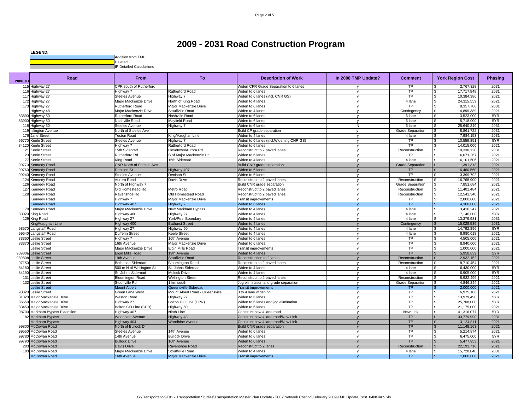

| 2006 ID         | Road                     | <b>From</b>                     | <b>To</b>                       | <b>Description of Work</b>              | In 2008 TMP Update? | <b>Comment</b>          | <b>York Region Cost</b> | <b>Phasing</b> |
|-----------------|--------------------------|---------------------------------|---------------------------------|-----------------------------------------|---------------------|-------------------------|-------------------------|----------------|
| 11!             | Highway 27               | CPR south of Rutherford         |                                 | Widen CPR Grade Separation to 6 lanes   |                     | TP                      | 2,767,328               | 2031           |
| 116             | Highway 27               | Highway 7                       | Rutherford Road                 | Widen to 6 lanes                        | $\mathsf{v}$        | TP                      | 17,717,848              | 2031           |
| 117             | Highway 27               | Steeles Avenue                  | Highway 7                       | Widen to 6 lanes (incl. CNR GS)         | <b>V</b>            | TP                      | 10,384,386              | 2021           |
| 172             | Highway 27               | Major Mackenzie Drive           | North of King Road              | Widen to 4 lanes                        | <b>V</b>            | 4 lane                  | 24,315,559              | 2021           |
| 173             | Highway 27               | <b>Rutherford Road</b>          | Maior Mackenzie Drive           | Widen to 6 lanes                        | $\mathsf{v}$        | <b>TP</b>               | 8,357,786               | 2031           |
|                 | Highway 48               | Major Mackenzie Drive           | Stouffville Road                | Widen to 4 lanes                        | $\mathsf{v}$        | Contingency             | 14.899.389<br>ς.        | 2021           |
| 83890           | Highway 50               | <b>Rutherford Road</b>          | Nashville Road                  | Widen to 6 lanes                        | $\mathsf{v}$        | 6 lane                  | 3,523,000               | 5YR            |
| 83900           | Highway 50               | Nashville Road                  | Mayfield Road                   | Widen to 6 lanes                        | $\mathsf{v}$        | 6 lane                  | 5,718,000               | 5YR            |
| 118             | Highway 50               | Steeles Avenue                  | Highway 7                       | Widen to 6 lanes                        | N                   | 6 lane                  | 28,640,249              | 2031           |
| 119             | <b>Islington Avenue</b>  | North of Steeles Ave            |                                 | Build CP grade separation               |                     | <b>Grade Separation</b> | 8,861,722               | 2031           |
| 176             | Jane Street              | <b>Teston Road</b>              | King/Vaughan Line               | Widen to 4 lanes                        | <b>V</b>            | 4 lane                  | 7,984,153               | 2031           |
| 96770           | <b>Keele Street</b>      | Steeles Avenue                  | Highway 7                       | Widen to 6 lanes (incl.Widening CNR GS) | $\mathbf{v}$        | TP                      | 10,559,851              | 5YR            |
| 84120           | <b>Keele Street</b>      | Highway 7                       | <b>Rutherford Road</b>          | Widen to 6 lanes                        | <b>V</b>            | <b>TP</b>               | 14,015,000              | 2021           |
| 12 <sup>1</sup> | <b>Keele Street</b>      | 15th Sideorad                   | Jovdtown/Aurora Rd              | Reconstruct to 2 paved lanes            | v                   | Reconstruction          | 10,330,120              | 2031           |
| 123             | Keele Street             | Rutherford Rd                   | S of Major Mackenzie Dr         | Widen to 6 lanes                        | V                   | TP                      | 6,071,267               | 2021           |
| 177             | <b>Keele Street</b>      | King Road                       | 15th Sideroad                   | Widen to 4 lanes                        | <b>V</b>            | 4 lane                  | 6,101,606               | 2021           |
| 99770           | <b>Kennedy Road</b>      | <b>CNR North of Steeles Ave</b> |                                 | Build CNR grade separation              |                     | <b>Grade Separation</b> | 11,391,313              | 2021           |
| 99760           | <b>Kennedy Road</b>      | Denison St                      | Highway 407                     | Widen to 6 lanes                        | $\mathsf{v}$        | <b>TP</b>               | 16,460,560              | 2021           |
| 99240           | Kennedy Road             | <b>Steeles Avenue</b>           | Denison St                      | Widen to 6 lanes                        | v                   | TP                      | 3,399,792               | 2021           |
| 124             | Kennedy Road             | Aurora Road                     | Davis Drive                     | Reconstruct to 2 paved lanes            | $\mathsf{v}$        | Reconstruction          | 16,768,900              | 2021           |
| 126             | Kennedy Road             | North of Highway 7              |                                 | Build CNR grade separation              | V                   | <b>Grade Separation</b> | 7,851,684               | 2021           |
| 127             | Kennedy Road             | Old Homestead Rd                | Metro Road                      | Reconstruct to 2 paved lanes            | $\mathbf v$         | Reconstruction          | 11,401,484              | 2021           |
|                 | 128 Kennedy Road         | Ravenshoe Rd                    | Old Homestead Road              | Reconstruct to 2 paved lanes            | $\mathsf{v}$        | Reconstruction          | 12,541,346              | 2021           |
|                 | Kennedy Road             | Highway 7                       | Major Mackenzie Drive           | <b>Transit improvements</b>             | $\mathsf{v}$        | TP                      | 2,000,000               | 2021           |
|                 | <b>Kennedy Road</b>      | Highway 407                     | Highway 7                       | Widen to 6 lanes                        | $\mathbf v$         | <b>TP</b>               | 4,300,000               | 2021           |
|                 | 179 Kennedy Road         | Major Mackenzie Drive           | New Markham Bypass              | Widen to 4 lanes                        | V                   | 4 lane                  | 3,416,247               | 2021           |
| 83020           | King Road                | Highway 400                     | Highway 27                      | Widen to 4 lanes                        | $\mathsf{v}$        | 4 lane                  | 7,140,000               | 5YR            |
| 129             | King Road                | Highway 27                      | York/Peel Boundary              | Widen to 4 lanes                        | <b>V</b>            | 4 lane                  | 13,379,931              | 2031           |
|                 | King/Vaughan Line        | Highway 400                     | <b>Bathurst Street</b>          | Widen to 4 lanes                        |                     | Contingency             | 15,028,539              | 2031           |
| 98570           | Langstaff Road           | Highway 27                      | Highway 50                      | Widen to 4 lanes                        | y                   | 4 lane                  | 14,792,896              | 5YR            |
| 99540           | Langstaff Road           | Dufferin Street                 | Keele Street                    | <b>Niden to 4 lanes</b>                 | $\mathsf{v}$        | 4 lane                  | 8,980,018               | 2021           |
| 83360           | <b>Leslie Street</b>     | Highway 7                       | 16th Avenue                     | Widen to 6 lanes                        | v                   | TP                      | 4,505,000               | 2021           |
| 83370           | <b>Leslie Street</b>     | 16th Avenue                     | Major Mackenzie Drive           | Widen to 6 lanes                        | V                   | TP                      | 8,940,000               | 2021           |
|                 | Leslie Street            | Major Mackenzie Drive           | Elgin Mills Road                | <b>Transit improvements</b>             | y                   | TP                      | 1,000,000               | 2021           |
| 98980a          | <b>Leslie Street</b>     | Elgin Mills Road                | 19th Avenue                     | <b>Widen to 4 lanes</b>                 |                     | <b>TP</b>               | 5,958,839               | 5YR            |
| 98980b          | <b>Leslie Street</b>     | 19th Avenue                     | Stouffville Road                | Reconstruction to 2 lanes               | $\mathbf{v}$        | Reconstruction          | 2,932,152               | 2021           |
| 97150           | Leslie Street            | Bethesda Sideroad               | <b>Bloomington Road</b>         | Reconstruct to 2 paved lanes            | <b>V</b>            | Reconstruction          | 8,710,454               | 2021           |
| 84180           | Leslie Stree             | 500 m N of Wellington St        | St. Johns Sideroad              | Widen to 4 lanes                        | V                   | 4 lane                  | 6,430,000               | 5YR            |
| 84190           | <b>Leslie Street</b>     | St. Johns Sideroad              | Mulock Drive                    | Widen to 4 lanes                        | $\vee$              | 4 lane                  | 6,905,000               | 5YR            |
| 131             | Leslie Stree             | <b>Bloomington Road</b>         | <b>Wellington Street</b>        | Reconstruct to 2 paved lanes            | V                   | Reconstruction          | 8,932,499               | 2021           |
| 132             | <b>Leslie Street</b>     | Stouffville Rd                  | 1 km south                      | Jog elimination and grade separation    | V                   | <b>Grade Separation</b> | 4.846.244               | 2021           |
|                 | eslie Street             | <b>Mount Albert</b>             | Queensville Sideroad            | <b>Transit improvements</b>             |                     | <b>TP</b>               | 2,000,000               | 2021           |
| 98320           | <b>Leslie Street</b>     | Green Lane West                 | Mount Albert Road - Queensville | 3 to 4 lane widening                    | $\mathbf{v}$        | <b>TP</b>               | 6,975,186<br>ς.         | 2021           |
| 81320           | Maior Mackenzie Drive    | <b>Weston Road</b>              | Highway 27                      | Widen to 6 lanes                        | <b>V</b>            | TP                      | 13,979,490              | 5YR            |
| 85650           | Major Mackenzie Drive    | Highway 27                      | Bolton GO Line (CPR)            | Widen to 6 lanes and jog elimination    | $\mathsf{v}$        | TP                      | 25,708,000              | 5YR            |
| 83450           | Major Mackenzie Drive    | Bolton GO Line (CPR)            | Highway 50                      | Widen to 6 lanes                        | <b>V</b>            | TP                      | 21,175,000              | 2021           |
| 98700           | Markham Bypass Extension | Highway 407                     | Ninth Line                      | Construct new 4 lane road               | $\mathsf{v}$        | <b>New Link</b>         | 41,316,077              | 5YR            |
| 182             | Markham Bypass           | <b>Woodbine Avenue</b>          | Highway 48                      | Construct new 4 lane road/New Link      | $\mathsf{v}$        | <b>TP</b>               | 33,779,990              | 2031           |
|                 | <b>Markham Bypass</b>    | Highway 404                     | <b>Woodbine Avenue</b>          | Construct new 4 lane road/New Link      |                     | <b>TP</b>               | 3,124,811               | 2021           |
| 99800           | McCowan Road             | North of Bullock Dr             |                                 | Build CNR grade separation              | $\mathbf{v}$        | <b>TP</b>               | 11,148,163              | 2021           |
| 99550           | McCowan Road             | Steeles Avenue                  | 14th Avenue                     | Widen to 6 lanes                        | y                   | <b>TP</b>               | 5,214,874               | 2021           |
| 99780           | McCowan Road             | 14th Avenue                     | <b>Bullock Drive</b>            | Widen to 6 lanes                        | v                   | TP                      | 6,475,000               | 5YR            |
| 99790           | McCowan Road             | <b>Bullock Drive</b>            | 16th Avenue                     | Widen to 6 lanes                        | N                   | <b>TP</b>               | 5,477,953               | 2021           |
| 20 <sup>°</sup> | McCowan Road             | Davis Drive                     | Ravenshoe Road                  | Reconstruct to 2 lanes                  |                     | Reconstruction          | 22,191,716              | 2021           |
| 183             | McCowan Road             | Major Mackenzie Drive           | Stouffville Road                | Widen to 4 lanes                        | y                   | 4 lane                  | 15,720,846              | 2031           |
|                 | McCowan Road             | 16th Avenue                     | Major Mackenzie Drive           | <b>Transit improvements</b>             |                     | <b>TP</b>               | 1,000,000               | 2021           |
|                 |                          |                                 |                                 |                                         |                     |                         |                         |                |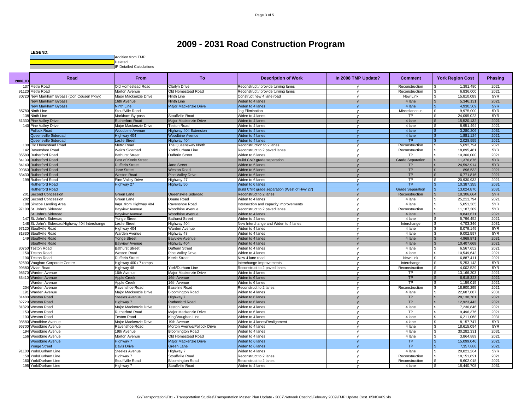

| 137 Metro Road<br>Old Homestead Road<br>Clarlyn Drive<br>Reconstruct / provide turning lanes<br>Reconstruction<br>1,391,480<br>91120 Metro Road<br>Old Homestead Road<br>Reconstruction<br>6.836.000<br>Morton Avenue<br>Reconstruct / provide turning lanes<br>80720 New Markham Bypass (Don Cousen Pkwy)<br>Major Mackenzie Drive<br>Ninth Line<br>Construct new 4 lane road<br>New Link<br>15,810,089<br><b>V</b><br><b>Ninth Line</b><br>4 lane<br>5,346,131<br><b>Jew Markham Bypass</b><br>16th Avenue<br>Widen to 4 lanes<br><b>Major Mackenzie Drive</b><br>4 lane<br>New Markham Bypass<br>Ninth Line<br>Widen to 4 lanes<br>4,930,509<br>$\mathbf v$<br>Miscellaneous<br>85780 Ninth Line<br>Stouffville Road<br>9,975,000<br>Jog Elimination<br>138 Ninth Line<br>Stouffville Road<br>TP<br>Markham By-pass<br>Widen to 4 lanes<br>24,095,023<br>y<br>15,520,132<br>81330 Pine Valley Drive<br><b>Rutherford Road</b><br>Major Mackenzie Drive<br><b>Widen to 4 lanes</b><br>4 lane<br>$\mathbf{v}$<br>4 lane<br>8,951,494<br>140 Pine Valley Drive<br>Major Mackenzie Drive<br><b>Teston Road</b><br>Widen to 4 lanes<br><b>V</b><br><b>Pollock Road</b><br>4 lane<br>3,280,206<br><b>Noodbine Avenue</b><br>Highway 404 Extension<br><b>Niden to 4 lanes</b><br>4 lane<br>Queensville Sideroad<br>lighway 404<br><b>Woodbine Avenue</b><br><b>Niden to 4 lanes</b><br>1,881,124<br>Queensville Sideroad<br>eslie Street<br>Highway 404<br><b>Niden to 4 lanes</b><br><b>TP</b><br>2,028,555<br>$\mathbf{v}$<br>5,692,794<br>Old Homestead Road<br>Metro Road<br>The Queensway North<br>Reconstruction to 2 lanes<br>Reconstruction<br>139<br><b>V</b><br>142<br>Ravenshoe Road<br>Weir's Sideroad<br>York/Durham Line<br>Reconstruct to 2 paved lanes<br>Reconstruction<br>18,895,461<br>$\mathbf{v}$<br>85580<br>Rutherford Road<br><b>Bathurst Street</b><br>Dufferin Street<br>Widen to 6 lanes<br>TP<br>10,300,000<br><b>V</b><br><b>Rutherford Road</b><br>East of Keele Street<br><b>Build CNR grade separation</b><br><b>Grade Separation</b><br>11,376,876<br>84130<br>24,592,914<br>84140<br><b>Rutherford Road</b><br>Dufferin Street<br><b>Jane Street</b><br>Widen to 6 lanes<br>TP<br><b>TP</b><br>99360<br><b>Rutherford Road</b><br><b>Jane Street</b><br><b>Weston Road</b><br>Widen to 6 lanes<br>896,533<br>$\mathbf{v}$<br><b>TP</b><br><b>Weston Road</b><br><b>Pine Valley Drive</b><br>6,771,816<br>83430<br><b>Rutherford Road</b><br>Widen to 6 lanes<br><b>TP</b><br>20.930.933<br>199 Rutherford Road<br>Pine Valley Drive<br>Highway 27<br>Widen to 6 lanes<br>$\mathbf v$<br><b>TP</b><br><b>Rutherford Road</b><br>Highway 50<br>10,387,355<br>Highway 27<br>Widen to 6 lanes<br><b>Grade Separation</b><br>13,024,870<br><b>Rutherford Road</b><br>Build CNR grade separation (West of Hwy 27)<br>Queensville Sideroad<br>18,306,664<br><b>Second Concession</b><br>Green Lane<br>Reconstruct to 2 lanes<br>Reconstruction<br>201<br>25,211,794<br>202<br>Second Concession<br>Green Lane<br>Doane Road<br>4 lane<br>Widen to 4 lanes<br>$\mathsf{v}$<br>mpr. from Highway 404<br>4 lane<br>5,051,385<br>Simcoe Landing Area<br>Ravenshoe Road<br>ntersection and capacity improvements<br>188<br>97100 St. John's Sideroad<br>Reconstruction<br>11,187,209<br>Bayview Avenue<br>Woodbine Avenue<br>Reconstruct to 2 paved lanes<br><b>V</b><br>St. John's Sideroad<br><b>Woodbine Avenue</b><br>Widen to 4 lanes<br>4 lane<br>8,843,671<br>Bayview Avenue<br>4 lane<br>5,796,452<br>147 St. John's Sideroad<br>Yonge Street<br><b>Bathurst Street</b><br>Widen to 4 lanes<br>y<br>4,703,346<br>148 St. John's Sideroad/Highway 404 Interchange<br>eslie Street<br>Highway 404<br>New Interchange and Widen to 4 lanes<br>Interchange<br>$\mathbf{v}$<br>97120 Stouffville Road<br>4 lane<br>8,079,149<br>Highway 404<br>Warden Avenue<br>Widen to 4 lanes<br><b>V</b><br>81830 Stouffville Road<br>4 lane<br>9,002,597<br><b>Warden Avenue</b><br>Highway 48<br>Widen to 4 lanes<br>$\mathbf v$<br>4 lane<br>149 Stouffville Road<br>onge Street<br><b>Bayview Avenue</b><br><b>Niden to 4 lanes</b><br>4,969,871<br><b>V</b><br>4 lane<br>Stouffville Road<br><b>Bayview Avenue</b><br>Highway 404<br><b>Niden to 4 lanes</b><br>10,407,668<br><b>Bathurst Street</b><br><b>Dufferin Street</b><br>4 lane<br>6,567,652<br>80750<br><b>Feston Road</b><br>Widen to 4 lanes<br><b>V</b><br>4 lane<br>10,549,642<br>150<br><b>Teston Road</b><br>Weston Road<br>Pine Valley Drive<br>Widen to 4 lanes<br>$\mathbf{v}$<br><b>New Link</b><br>eston Road<br>Dufferin Street<br><b>Keele Street</b><br>New 4 lane road<br>6,887,411<br>19 <sub>0</sub><br><b>V</b><br>Vaughan Corporate Centre<br>Highway 400 / 7 ramps<br>Interchange<br>5,253,143<br>82690<br>Interchange Improvements<br>$\mathbf v$<br>4.002.529<br>99880<br>/ivian Road<br>Highway 48<br>York/Durham Line<br>Reconstruct to 2 paved lanes<br>Reconstruction<br>$\mathbf v$<br>98670<br>Warden Avenue<br>16th Avenue<br>Major Mackenzie Drive<br>Widen to 4 lanes<br>TP<br>13,166,203<br>$\mathbf{v}$<br>TP<br>83410 Warden Avenue<br>16th Avenue<br>6,918,323<br><b>Apple Creek</b><br>Widen to 6 lanes<br><b>TP</b><br>Varden Avenue<br>Apple Creek<br>16th Avenue<br>Widen to 6 lanes<br>1,159,015<br>$\mathbf v$<br>Reconstruction<br>18,900,295<br>Warden Avenue<br>Baseline Road<br>Reconstruct to 2 lanes<br>204<br>Ravenshoe Road<br>$\mathsf{v}$<br>22,687,887<br>Warden Avenue<br>Major Mackenzie Drive<br>4 lane<br>191<br><b>Bloomington Road</b><br>Widen to 4 lanes<br>$\mathbf v$ |      |
|-------------------------------------------------------------------------------------------------------------------------------------------------------------------------------------------------------------------------------------------------------------------------------------------------------------------------------------------------------------------------------------------------------------------------------------------------------------------------------------------------------------------------------------------------------------------------------------------------------------------------------------------------------------------------------------------------------------------------------------------------------------------------------------------------------------------------------------------------------------------------------------------------------------------------------------------------------------------------------------------------------------------------------------------------------------------------------------------------------------------------------------------------------------------------------------------------------------------------------------------------------------------------------------------------------------------------------------------------------------------------------------------------------------------------------------------------------------------------------------------------------------------------------------------------------------------------------------------------------------------------------------------------------------------------------------------------------------------------------------------------------------------------------------------------------------------------------------------------------------------------------------------------------------------------------------------------------------------------------------------------------------------------------------------------------------------------------------------------------------------------------------------------------------------------------------------------------------------------------------------------------------------------------------------------------------------------------------------------------------------------------------------------------------------------------------------------------------------------------------------------------------------------------------------------------------------------------------------------------------------------------------------------------------------------------------------------------------------------------------------------------------------------------------------------------------------------------------------------------------------------------------------------------------------------------------------------------------------------------------------------------------------------------------------------------------------------------------------------------------------------------------------------------------------------------------------------------------------------------------------------------------------------------------------------------------------------------------------------------------------------------------------------------------------------------------------------------------------------------------------------------------------------------------------------------------------------------------------------------------------------------------------------------------------------------------------------------------------------------------------------------------------------------------------------------------------------------------------------------------------------------------------------------------------------------------------------------------------------------------------------------------------------------------------------------------------------------------------------------------------------------------------------------------------------------------------------------------------------------------------------------------------------------------------------------------------------------------------------------------------------------------------------------------------------------------------------------------------------------------------------------------------------------------------------------------------------------------------------------------------------------------------------------------------------------------------------------------------------------------------------------------------------------------------------------------------------------------------------------------------------------------------------------------------------------------------------------------------------------------------------------------------------------------------------------------------------------------------------------------------------------------------------------------------------------------------------------------------------------------------------------------------------------------------------------------------------------------------------------------------------------------------------------------------------------------------------------------------------------------------------------------------------------------------------------------------------------------------------------------|------|
|                                                                                                                                                                                                                                                                                                                                                                                                                                                                                                                                                                                                                                                                                                                                                                                                                                                                                                                                                                                                                                                                                                                                                                                                                                                                                                                                                                                                                                                                                                                                                                                                                                                                                                                                                                                                                                                                                                                                                                                                                                                                                                                                                                                                                                                                                                                                                                                                                                                                                                                                                                                                                                                                                                                                                                                                                                                                                                                                                                                                                                                                                                                                                                                                                                                                                                                                                                                                                                                                                                                                                                                                                                                                                                                                                                                                                                                                                                                                                                                                                                                                                                                                                                                                                                                                                                                                                                                                                                                                                                                                                                                                                                                                                                                                                                                                                                                                                                                                                                                                                                                                                                                                                                                                                                                                                                                                                                                                                                                                                                                                                                                                             | 2021 |
|                                                                                                                                                                                                                                                                                                                                                                                                                                                                                                                                                                                                                                                                                                                                                                                                                                                                                                                                                                                                                                                                                                                                                                                                                                                                                                                                                                                                                                                                                                                                                                                                                                                                                                                                                                                                                                                                                                                                                                                                                                                                                                                                                                                                                                                                                                                                                                                                                                                                                                                                                                                                                                                                                                                                                                                                                                                                                                                                                                                                                                                                                                                                                                                                                                                                                                                                                                                                                                                                                                                                                                                                                                                                                                                                                                                                                                                                                                                                                                                                                                                                                                                                                                                                                                                                                                                                                                                                                                                                                                                                                                                                                                                                                                                                                                                                                                                                                                                                                                                                                                                                                                                                                                                                                                                                                                                                                                                                                                                                                                                                                                                                             | 2021 |
|                                                                                                                                                                                                                                                                                                                                                                                                                                                                                                                                                                                                                                                                                                                                                                                                                                                                                                                                                                                                                                                                                                                                                                                                                                                                                                                                                                                                                                                                                                                                                                                                                                                                                                                                                                                                                                                                                                                                                                                                                                                                                                                                                                                                                                                                                                                                                                                                                                                                                                                                                                                                                                                                                                                                                                                                                                                                                                                                                                                                                                                                                                                                                                                                                                                                                                                                                                                                                                                                                                                                                                                                                                                                                                                                                                                                                                                                                                                                                                                                                                                                                                                                                                                                                                                                                                                                                                                                                                                                                                                                                                                                                                                                                                                                                                                                                                                                                                                                                                                                                                                                                                                                                                                                                                                                                                                                                                                                                                                                                                                                                                                                             | 5YR  |
|                                                                                                                                                                                                                                                                                                                                                                                                                                                                                                                                                                                                                                                                                                                                                                                                                                                                                                                                                                                                                                                                                                                                                                                                                                                                                                                                                                                                                                                                                                                                                                                                                                                                                                                                                                                                                                                                                                                                                                                                                                                                                                                                                                                                                                                                                                                                                                                                                                                                                                                                                                                                                                                                                                                                                                                                                                                                                                                                                                                                                                                                                                                                                                                                                                                                                                                                                                                                                                                                                                                                                                                                                                                                                                                                                                                                                                                                                                                                                                                                                                                                                                                                                                                                                                                                                                                                                                                                                                                                                                                                                                                                                                                                                                                                                                                                                                                                                                                                                                                                                                                                                                                                                                                                                                                                                                                                                                                                                                                                                                                                                                                                             | 2021 |
|                                                                                                                                                                                                                                                                                                                                                                                                                                                                                                                                                                                                                                                                                                                                                                                                                                                                                                                                                                                                                                                                                                                                                                                                                                                                                                                                                                                                                                                                                                                                                                                                                                                                                                                                                                                                                                                                                                                                                                                                                                                                                                                                                                                                                                                                                                                                                                                                                                                                                                                                                                                                                                                                                                                                                                                                                                                                                                                                                                                                                                                                                                                                                                                                                                                                                                                                                                                                                                                                                                                                                                                                                                                                                                                                                                                                                                                                                                                                                                                                                                                                                                                                                                                                                                                                                                                                                                                                                                                                                                                                                                                                                                                                                                                                                                                                                                                                                                                                                                                                                                                                                                                                                                                                                                                                                                                                                                                                                                                                                                                                                                                                             | 5YR  |
|                                                                                                                                                                                                                                                                                                                                                                                                                                                                                                                                                                                                                                                                                                                                                                                                                                                                                                                                                                                                                                                                                                                                                                                                                                                                                                                                                                                                                                                                                                                                                                                                                                                                                                                                                                                                                                                                                                                                                                                                                                                                                                                                                                                                                                                                                                                                                                                                                                                                                                                                                                                                                                                                                                                                                                                                                                                                                                                                                                                                                                                                                                                                                                                                                                                                                                                                                                                                                                                                                                                                                                                                                                                                                                                                                                                                                                                                                                                                                                                                                                                                                                                                                                                                                                                                                                                                                                                                                                                                                                                                                                                                                                                                                                                                                                                                                                                                                                                                                                                                                                                                                                                                                                                                                                                                                                                                                                                                                                                                                                                                                                                                             | 5YR  |
|                                                                                                                                                                                                                                                                                                                                                                                                                                                                                                                                                                                                                                                                                                                                                                                                                                                                                                                                                                                                                                                                                                                                                                                                                                                                                                                                                                                                                                                                                                                                                                                                                                                                                                                                                                                                                                                                                                                                                                                                                                                                                                                                                                                                                                                                                                                                                                                                                                                                                                                                                                                                                                                                                                                                                                                                                                                                                                                                                                                                                                                                                                                                                                                                                                                                                                                                                                                                                                                                                                                                                                                                                                                                                                                                                                                                                                                                                                                                                                                                                                                                                                                                                                                                                                                                                                                                                                                                                                                                                                                                                                                                                                                                                                                                                                                                                                                                                                                                                                                                                                                                                                                                                                                                                                                                                                                                                                                                                                                                                                                                                                                                             | 5YR  |
|                                                                                                                                                                                                                                                                                                                                                                                                                                                                                                                                                                                                                                                                                                                                                                                                                                                                                                                                                                                                                                                                                                                                                                                                                                                                                                                                                                                                                                                                                                                                                                                                                                                                                                                                                                                                                                                                                                                                                                                                                                                                                                                                                                                                                                                                                                                                                                                                                                                                                                                                                                                                                                                                                                                                                                                                                                                                                                                                                                                                                                                                                                                                                                                                                                                                                                                                                                                                                                                                                                                                                                                                                                                                                                                                                                                                                                                                                                                                                                                                                                                                                                                                                                                                                                                                                                                                                                                                                                                                                                                                                                                                                                                                                                                                                                                                                                                                                                                                                                                                                                                                                                                                                                                                                                                                                                                                                                                                                                                                                                                                                                                                             | 2021 |
|                                                                                                                                                                                                                                                                                                                                                                                                                                                                                                                                                                                                                                                                                                                                                                                                                                                                                                                                                                                                                                                                                                                                                                                                                                                                                                                                                                                                                                                                                                                                                                                                                                                                                                                                                                                                                                                                                                                                                                                                                                                                                                                                                                                                                                                                                                                                                                                                                                                                                                                                                                                                                                                                                                                                                                                                                                                                                                                                                                                                                                                                                                                                                                                                                                                                                                                                                                                                                                                                                                                                                                                                                                                                                                                                                                                                                                                                                                                                                                                                                                                                                                                                                                                                                                                                                                                                                                                                                                                                                                                                                                                                                                                                                                                                                                                                                                                                                                                                                                                                                                                                                                                                                                                                                                                                                                                                                                                                                                                                                                                                                                                                             | 2021 |
|                                                                                                                                                                                                                                                                                                                                                                                                                                                                                                                                                                                                                                                                                                                                                                                                                                                                                                                                                                                                                                                                                                                                                                                                                                                                                                                                                                                                                                                                                                                                                                                                                                                                                                                                                                                                                                                                                                                                                                                                                                                                                                                                                                                                                                                                                                                                                                                                                                                                                                                                                                                                                                                                                                                                                                                                                                                                                                                                                                                                                                                                                                                                                                                                                                                                                                                                                                                                                                                                                                                                                                                                                                                                                                                                                                                                                                                                                                                                                                                                                                                                                                                                                                                                                                                                                                                                                                                                                                                                                                                                                                                                                                                                                                                                                                                                                                                                                                                                                                                                                                                                                                                                                                                                                                                                                                                                                                                                                                                                                                                                                                                                             | 2031 |
|                                                                                                                                                                                                                                                                                                                                                                                                                                                                                                                                                                                                                                                                                                                                                                                                                                                                                                                                                                                                                                                                                                                                                                                                                                                                                                                                                                                                                                                                                                                                                                                                                                                                                                                                                                                                                                                                                                                                                                                                                                                                                                                                                                                                                                                                                                                                                                                                                                                                                                                                                                                                                                                                                                                                                                                                                                                                                                                                                                                                                                                                                                                                                                                                                                                                                                                                                                                                                                                                                                                                                                                                                                                                                                                                                                                                                                                                                                                                                                                                                                                                                                                                                                                                                                                                                                                                                                                                                                                                                                                                                                                                                                                                                                                                                                                                                                                                                                                                                                                                                                                                                                                                                                                                                                                                                                                                                                                                                                                                                                                                                                                                             | 2021 |
|                                                                                                                                                                                                                                                                                                                                                                                                                                                                                                                                                                                                                                                                                                                                                                                                                                                                                                                                                                                                                                                                                                                                                                                                                                                                                                                                                                                                                                                                                                                                                                                                                                                                                                                                                                                                                                                                                                                                                                                                                                                                                                                                                                                                                                                                                                                                                                                                                                                                                                                                                                                                                                                                                                                                                                                                                                                                                                                                                                                                                                                                                                                                                                                                                                                                                                                                                                                                                                                                                                                                                                                                                                                                                                                                                                                                                                                                                                                                                                                                                                                                                                                                                                                                                                                                                                                                                                                                                                                                                                                                                                                                                                                                                                                                                                                                                                                                                                                                                                                                                                                                                                                                                                                                                                                                                                                                                                                                                                                                                                                                                                                                             | 2021 |
|                                                                                                                                                                                                                                                                                                                                                                                                                                                                                                                                                                                                                                                                                                                                                                                                                                                                                                                                                                                                                                                                                                                                                                                                                                                                                                                                                                                                                                                                                                                                                                                                                                                                                                                                                                                                                                                                                                                                                                                                                                                                                                                                                                                                                                                                                                                                                                                                                                                                                                                                                                                                                                                                                                                                                                                                                                                                                                                                                                                                                                                                                                                                                                                                                                                                                                                                                                                                                                                                                                                                                                                                                                                                                                                                                                                                                                                                                                                                                                                                                                                                                                                                                                                                                                                                                                                                                                                                                                                                                                                                                                                                                                                                                                                                                                                                                                                                                                                                                                                                                                                                                                                                                                                                                                                                                                                                                                                                                                                                                                                                                                                                             | 2021 |
|                                                                                                                                                                                                                                                                                                                                                                                                                                                                                                                                                                                                                                                                                                                                                                                                                                                                                                                                                                                                                                                                                                                                                                                                                                                                                                                                                                                                                                                                                                                                                                                                                                                                                                                                                                                                                                                                                                                                                                                                                                                                                                                                                                                                                                                                                                                                                                                                                                                                                                                                                                                                                                                                                                                                                                                                                                                                                                                                                                                                                                                                                                                                                                                                                                                                                                                                                                                                                                                                                                                                                                                                                                                                                                                                                                                                                                                                                                                                                                                                                                                                                                                                                                                                                                                                                                                                                                                                                                                                                                                                                                                                                                                                                                                                                                                                                                                                                                                                                                                                                                                                                                                                                                                                                                                                                                                                                                                                                                                                                                                                                                                                             | 5YR  |
|                                                                                                                                                                                                                                                                                                                                                                                                                                                                                                                                                                                                                                                                                                                                                                                                                                                                                                                                                                                                                                                                                                                                                                                                                                                                                                                                                                                                                                                                                                                                                                                                                                                                                                                                                                                                                                                                                                                                                                                                                                                                                                                                                                                                                                                                                                                                                                                                                                                                                                                                                                                                                                                                                                                                                                                                                                                                                                                                                                                                                                                                                                                                                                                                                                                                                                                                                                                                                                                                                                                                                                                                                                                                                                                                                                                                                                                                                                                                                                                                                                                                                                                                                                                                                                                                                                                                                                                                                                                                                                                                                                                                                                                                                                                                                                                                                                                                                                                                                                                                                                                                                                                                                                                                                                                                                                                                                                                                                                                                                                                                                                                                             | 2021 |
|                                                                                                                                                                                                                                                                                                                                                                                                                                                                                                                                                                                                                                                                                                                                                                                                                                                                                                                                                                                                                                                                                                                                                                                                                                                                                                                                                                                                                                                                                                                                                                                                                                                                                                                                                                                                                                                                                                                                                                                                                                                                                                                                                                                                                                                                                                                                                                                                                                                                                                                                                                                                                                                                                                                                                                                                                                                                                                                                                                                                                                                                                                                                                                                                                                                                                                                                                                                                                                                                                                                                                                                                                                                                                                                                                                                                                                                                                                                                                                                                                                                                                                                                                                                                                                                                                                                                                                                                                                                                                                                                                                                                                                                                                                                                                                                                                                                                                                                                                                                                                                                                                                                                                                                                                                                                                                                                                                                                                                                                                                                                                                                                             | 5YR  |
|                                                                                                                                                                                                                                                                                                                                                                                                                                                                                                                                                                                                                                                                                                                                                                                                                                                                                                                                                                                                                                                                                                                                                                                                                                                                                                                                                                                                                                                                                                                                                                                                                                                                                                                                                                                                                                                                                                                                                                                                                                                                                                                                                                                                                                                                                                                                                                                                                                                                                                                                                                                                                                                                                                                                                                                                                                                                                                                                                                                                                                                                                                                                                                                                                                                                                                                                                                                                                                                                                                                                                                                                                                                                                                                                                                                                                                                                                                                                                                                                                                                                                                                                                                                                                                                                                                                                                                                                                                                                                                                                                                                                                                                                                                                                                                                                                                                                                                                                                                                                                                                                                                                                                                                                                                                                                                                                                                                                                                                                                                                                                                                                             | 5YR  |
|                                                                                                                                                                                                                                                                                                                                                                                                                                                                                                                                                                                                                                                                                                                                                                                                                                                                                                                                                                                                                                                                                                                                                                                                                                                                                                                                                                                                                                                                                                                                                                                                                                                                                                                                                                                                                                                                                                                                                                                                                                                                                                                                                                                                                                                                                                                                                                                                                                                                                                                                                                                                                                                                                                                                                                                                                                                                                                                                                                                                                                                                                                                                                                                                                                                                                                                                                                                                                                                                                                                                                                                                                                                                                                                                                                                                                                                                                                                                                                                                                                                                                                                                                                                                                                                                                                                                                                                                                                                                                                                                                                                                                                                                                                                                                                                                                                                                                                                                                                                                                                                                                                                                                                                                                                                                                                                                                                                                                                                                                                                                                                                                             | 2021 |
|                                                                                                                                                                                                                                                                                                                                                                                                                                                                                                                                                                                                                                                                                                                                                                                                                                                                                                                                                                                                                                                                                                                                                                                                                                                                                                                                                                                                                                                                                                                                                                                                                                                                                                                                                                                                                                                                                                                                                                                                                                                                                                                                                                                                                                                                                                                                                                                                                                                                                                                                                                                                                                                                                                                                                                                                                                                                                                                                                                                                                                                                                                                                                                                                                                                                                                                                                                                                                                                                                                                                                                                                                                                                                                                                                                                                                                                                                                                                                                                                                                                                                                                                                                                                                                                                                                                                                                                                                                                                                                                                                                                                                                                                                                                                                                                                                                                                                                                                                                                                                                                                                                                                                                                                                                                                                                                                                                                                                                                                                                                                                                                                             | 2021 |
|                                                                                                                                                                                                                                                                                                                                                                                                                                                                                                                                                                                                                                                                                                                                                                                                                                                                                                                                                                                                                                                                                                                                                                                                                                                                                                                                                                                                                                                                                                                                                                                                                                                                                                                                                                                                                                                                                                                                                                                                                                                                                                                                                                                                                                                                                                                                                                                                                                                                                                                                                                                                                                                                                                                                                                                                                                                                                                                                                                                                                                                                                                                                                                                                                                                                                                                                                                                                                                                                                                                                                                                                                                                                                                                                                                                                                                                                                                                                                                                                                                                                                                                                                                                                                                                                                                                                                                                                                                                                                                                                                                                                                                                                                                                                                                                                                                                                                                                                                                                                                                                                                                                                                                                                                                                                                                                                                                                                                                                                                                                                                                                                             | 2021 |
|                                                                                                                                                                                                                                                                                                                                                                                                                                                                                                                                                                                                                                                                                                                                                                                                                                                                                                                                                                                                                                                                                                                                                                                                                                                                                                                                                                                                                                                                                                                                                                                                                                                                                                                                                                                                                                                                                                                                                                                                                                                                                                                                                                                                                                                                                                                                                                                                                                                                                                                                                                                                                                                                                                                                                                                                                                                                                                                                                                                                                                                                                                                                                                                                                                                                                                                                                                                                                                                                                                                                                                                                                                                                                                                                                                                                                                                                                                                                                                                                                                                                                                                                                                                                                                                                                                                                                                                                                                                                                                                                                                                                                                                                                                                                                                                                                                                                                                                                                                                                                                                                                                                                                                                                                                                                                                                                                                                                                                                                                                                                                                                                             | 2031 |
|                                                                                                                                                                                                                                                                                                                                                                                                                                                                                                                                                                                                                                                                                                                                                                                                                                                                                                                                                                                                                                                                                                                                                                                                                                                                                                                                                                                                                                                                                                                                                                                                                                                                                                                                                                                                                                                                                                                                                                                                                                                                                                                                                                                                                                                                                                                                                                                                                                                                                                                                                                                                                                                                                                                                                                                                                                                                                                                                                                                                                                                                                                                                                                                                                                                                                                                                                                                                                                                                                                                                                                                                                                                                                                                                                                                                                                                                                                                                                                                                                                                                                                                                                                                                                                                                                                                                                                                                                                                                                                                                                                                                                                                                                                                                                                                                                                                                                                                                                                                                                                                                                                                                                                                                                                                                                                                                                                                                                                                                                                                                                                                                             | 2031 |
|                                                                                                                                                                                                                                                                                                                                                                                                                                                                                                                                                                                                                                                                                                                                                                                                                                                                                                                                                                                                                                                                                                                                                                                                                                                                                                                                                                                                                                                                                                                                                                                                                                                                                                                                                                                                                                                                                                                                                                                                                                                                                                                                                                                                                                                                                                                                                                                                                                                                                                                                                                                                                                                                                                                                                                                                                                                                                                                                                                                                                                                                                                                                                                                                                                                                                                                                                                                                                                                                                                                                                                                                                                                                                                                                                                                                                                                                                                                                                                                                                                                                                                                                                                                                                                                                                                                                                                                                                                                                                                                                                                                                                                                                                                                                                                                                                                                                                                                                                                                                                                                                                                                                                                                                                                                                                                                                                                                                                                                                                                                                                                                                             | 5YR  |
|                                                                                                                                                                                                                                                                                                                                                                                                                                                                                                                                                                                                                                                                                                                                                                                                                                                                                                                                                                                                                                                                                                                                                                                                                                                                                                                                                                                                                                                                                                                                                                                                                                                                                                                                                                                                                                                                                                                                                                                                                                                                                                                                                                                                                                                                                                                                                                                                                                                                                                                                                                                                                                                                                                                                                                                                                                                                                                                                                                                                                                                                                                                                                                                                                                                                                                                                                                                                                                                                                                                                                                                                                                                                                                                                                                                                                                                                                                                                                                                                                                                                                                                                                                                                                                                                                                                                                                                                                                                                                                                                                                                                                                                                                                                                                                                                                                                                                                                                                                                                                                                                                                                                                                                                                                                                                                                                                                                                                                                                                                                                                                                                             | 2021 |
|                                                                                                                                                                                                                                                                                                                                                                                                                                                                                                                                                                                                                                                                                                                                                                                                                                                                                                                                                                                                                                                                                                                                                                                                                                                                                                                                                                                                                                                                                                                                                                                                                                                                                                                                                                                                                                                                                                                                                                                                                                                                                                                                                                                                                                                                                                                                                                                                                                                                                                                                                                                                                                                                                                                                                                                                                                                                                                                                                                                                                                                                                                                                                                                                                                                                                                                                                                                                                                                                                                                                                                                                                                                                                                                                                                                                                                                                                                                                                                                                                                                                                                                                                                                                                                                                                                                                                                                                                                                                                                                                                                                                                                                                                                                                                                                                                                                                                                                                                                                                                                                                                                                                                                                                                                                                                                                                                                                                                                                                                                                                                                                                             | 5YR  |
|                                                                                                                                                                                                                                                                                                                                                                                                                                                                                                                                                                                                                                                                                                                                                                                                                                                                                                                                                                                                                                                                                                                                                                                                                                                                                                                                                                                                                                                                                                                                                                                                                                                                                                                                                                                                                                                                                                                                                                                                                                                                                                                                                                                                                                                                                                                                                                                                                                                                                                                                                                                                                                                                                                                                                                                                                                                                                                                                                                                                                                                                                                                                                                                                                                                                                                                                                                                                                                                                                                                                                                                                                                                                                                                                                                                                                                                                                                                                                                                                                                                                                                                                                                                                                                                                                                                                                                                                                                                                                                                                                                                                                                                                                                                                                                                                                                                                                                                                                                                                                                                                                                                                                                                                                                                                                                                                                                                                                                                                                                                                                                                                             | 5YR  |
|                                                                                                                                                                                                                                                                                                                                                                                                                                                                                                                                                                                                                                                                                                                                                                                                                                                                                                                                                                                                                                                                                                                                                                                                                                                                                                                                                                                                                                                                                                                                                                                                                                                                                                                                                                                                                                                                                                                                                                                                                                                                                                                                                                                                                                                                                                                                                                                                                                                                                                                                                                                                                                                                                                                                                                                                                                                                                                                                                                                                                                                                                                                                                                                                                                                                                                                                                                                                                                                                                                                                                                                                                                                                                                                                                                                                                                                                                                                                                                                                                                                                                                                                                                                                                                                                                                                                                                                                                                                                                                                                                                                                                                                                                                                                                                                                                                                                                                                                                                                                                                                                                                                                                                                                                                                                                                                                                                                                                                                                                                                                                                                                             | 2021 |
|                                                                                                                                                                                                                                                                                                                                                                                                                                                                                                                                                                                                                                                                                                                                                                                                                                                                                                                                                                                                                                                                                                                                                                                                                                                                                                                                                                                                                                                                                                                                                                                                                                                                                                                                                                                                                                                                                                                                                                                                                                                                                                                                                                                                                                                                                                                                                                                                                                                                                                                                                                                                                                                                                                                                                                                                                                                                                                                                                                                                                                                                                                                                                                                                                                                                                                                                                                                                                                                                                                                                                                                                                                                                                                                                                                                                                                                                                                                                                                                                                                                                                                                                                                                                                                                                                                                                                                                                                                                                                                                                                                                                                                                                                                                                                                                                                                                                                                                                                                                                                                                                                                                                                                                                                                                                                                                                                                                                                                                                                                                                                                                                             | 2021 |
|                                                                                                                                                                                                                                                                                                                                                                                                                                                                                                                                                                                                                                                                                                                                                                                                                                                                                                                                                                                                                                                                                                                                                                                                                                                                                                                                                                                                                                                                                                                                                                                                                                                                                                                                                                                                                                                                                                                                                                                                                                                                                                                                                                                                                                                                                                                                                                                                                                                                                                                                                                                                                                                                                                                                                                                                                                                                                                                                                                                                                                                                                                                                                                                                                                                                                                                                                                                                                                                                                                                                                                                                                                                                                                                                                                                                                                                                                                                                                                                                                                                                                                                                                                                                                                                                                                                                                                                                                                                                                                                                                                                                                                                                                                                                                                                                                                                                                                                                                                                                                                                                                                                                                                                                                                                                                                                                                                                                                                                                                                                                                                                                             | 2031 |
|                                                                                                                                                                                                                                                                                                                                                                                                                                                                                                                                                                                                                                                                                                                                                                                                                                                                                                                                                                                                                                                                                                                                                                                                                                                                                                                                                                                                                                                                                                                                                                                                                                                                                                                                                                                                                                                                                                                                                                                                                                                                                                                                                                                                                                                                                                                                                                                                                                                                                                                                                                                                                                                                                                                                                                                                                                                                                                                                                                                                                                                                                                                                                                                                                                                                                                                                                                                                                                                                                                                                                                                                                                                                                                                                                                                                                                                                                                                                                                                                                                                                                                                                                                                                                                                                                                                                                                                                                                                                                                                                                                                                                                                                                                                                                                                                                                                                                                                                                                                                                                                                                                                                                                                                                                                                                                                                                                                                                                                                                                                                                                                                             | 5YR  |
|                                                                                                                                                                                                                                                                                                                                                                                                                                                                                                                                                                                                                                                                                                                                                                                                                                                                                                                                                                                                                                                                                                                                                                                                                                                                                                                                                                                                                                                                                                                                                                                                                                                                                                                                                                                                                                                                                                                                                                                                                                                                                                                                                                                                                                                                                                                                                                                                                                                                                                                                                                                                                                                                                                                                                                                                                                                                                                                                                                                                                                                                                                                                                                                                                                                                                                                                                                                                                                                                                                                                                                                                                                                                                                                                                                                                                                                                                                                                                                                                                                                                                                                                                                                                                                                                                                                                                                                                                                                                                                                                                                                                                                                                                                                                                                                                                                                                                                                                                                                                                                                                                                                                                                                                                                                                                                                                                                                                                                                                                                                                                                                                             | 5YR  |
|                                                                                                                                                                                                                                                                                                                                                                                                                                                                                                                                                                                                                                                                                                                                                                                                                                                                                                                                                                                                                                                                                                                                                                                                                                                                                                                                                                                                                                                                                                                                                                                                                                                                                                                                                                                                                                                                                                                                                                                                                                                                                                                                                                                                                                                                                                                                                                                                                                                                                                                                                                                                                                                                                                                                                                                                                                                                                                                                                                                                                                                                                                                                                                                                                                                                                                                                                                                                                                                                                                                                                                                                                                                                                                                                                                                                                                                                                                                                                                                                                                                                                                                                                                                                                                                                                                                                                                                                                                                                                                                                                                                                                                                                                                                                                                                                                                                                                                                                                                                                                                                                                                                                                                                                                                                                                                                                                                                                                                                                                                                                                                                                             | 2031 |
|                                                                                                                                                                                                                                                                                                                                                                                                                                                                                                                                                                                                                                                                                                                                                                                                                                                                                                                                                                                                                                                                                                                                                                                                                                                                                                                                                                                                                                                                                                                                                                                                                                                                                                                                                                                                                                                                                                                                                                                                                                                                                                                                                                                                                                                                                                                                                                                                                                                                                                                                                                                                                                                                                                                                                                                                                                                                                                                                                                                                                                                                                                                                                                                                                                                                                                                                                                                                                                                                                                                                                                                                                                                                                                                                                                                                                                                                                                                                                                                                                                                                                                                                                                                                                                                                                                                                                                                                                                                                                                                                                                                                                                                                                                                                                                                                                                                                                                                                                                                                                                                                                                                                                                                                                                                                                                                                                                                                                                                                                                                                                                                                             | 2021 |
|                                                                                                                                                                                                                                                                                                                                                                                                                                                                                                                                                                                                                                                                                                                                                                                                                                                                                                                                                                                                                                                                                                                                                                                                                                                                                                                                                                                                                                                                                                                                                                                                                                                                                                                                                                                                                                                                                                                                                                                                                                                                                                                                                                                                                                                                                                                                                                                                                                                                                                                                                                                                                                                                                                                                                                                                                                                                                                                                                                                                                                                                                                                                                                                                                                                                                                                                                                                                                                                                                                                                                                                                                                                                                                                                                                                                                                                                                                                                                                                                                                                                                                                                                                                                                                                                                                                                                                                                                                                                                                                                                                                                                                                                                                                                                                                                                                                                                                                                                                                                                                                                                                                                                                                                                                                                                                                                                                                                                                                                                                                                                                                                             | 2021 |
|                                                                                                                                                                                                                                                                                                                                                                                                                                                                                                                                                                                                                                                                                                                                                                                                                                                                                                                                                                                                                                                                                                                                                                                                                                                                                                                                                                                                                                                                                                                                                                                                                                                                                                                                                                                                                                                                                                                                                                                                                                                                                                                                                                                                                                                                                                                                                                                                                                                                                                                                                                                                                                                                                                                                                                                                                                                                                                                                                                                                                                                                                                                                                                                                                                                                                                                                                                                                                                                                                                                                                                                                                                                                                                                                                                                                                                                                                                                                                                                                                                                                                                                                                                                                                                                                                                                                                                                                                                                                                                                                                                                                                                                                                                                                                                                                                                                                                                                                                                                                                                                                                                                                                                                                                                                                                                                                                                                                                                                                                                                                                                                                             | 2021 |
|                                                                                                                                                                                                                                                                                                                                                                                                                                                                                                                                                                                                                                                                                                                                                                                                                                                                                                                                                                                                                                                                                                                                                                                                                                                                                                                                                                                                                                                                                                                                                                                                                                                                                                                                                                                                                                                                                                                                                                                                                                                                                                                                                                                                                                                                                                                                                                                                                                                                                                                                                                                                                                                                                                                                                                                                                                                                                                                                                                                                                                                                                                                                                                                                                                                                                                                                                                                                                                                                                                                                                                                                                                                                                                                                                                                                                                                                                                                                                                                                                                                                                                                                                                                                                                                                                                                                                                                                                                                                                                                                                                                                                                                                                                                                                                                                                                                                                                                                                                                                                                                                                                                                                                                                                                                                                                                                                                                                                                                                                                                                                                                                             | 2021 |
|                                                                                                                                                                                                                                                                                                                                                                                                                                                                                                                                                                                                                                                                                                                                                                                                                                                                                                                                                                                                                                                                                                                                                                                                                                                                                                                                                                                                                                                                                                                                                                                                                                                                                                                                                                                                                                                                                                                                                                                                                                                                                                                                                                                                                                                                                                                                                                                                                                                                                                                                                                                                                                                                                                                                                                                                                                                                                                                                                                                                                                                                                                                                                                                                                                                                                                                                                                                                                                                                                                                                                                                                                                                                                                                                                                                                                                                                                                                                                                                                                                                                                                                                                                                                                                                                                                                                                                                                                                                                                                                                                                                                                                                                                                                                                                                                                                                                                                                                                                                                                                                                                                                                                                                                                                                                                                                                                                                                                                                                                                                                                                                                             | 5YR  |
|                                                                                                                                                                                                                                                                                                                                                                                                                                                                                                                                                                                                                                                                                                                                                                                                                                                                                                                                                                                                                                                                                                                                                                                                                                                                                                                                                                                                                                                                                                                                                                                                                                                                                                                                                                                                                                                                                                                                                                                                                                                                                                                                                                                                                                                                                                                                                                                                                                                                                                                                                                                                                                                                                                                                                                                                                                                                                                                                                                                                                                                                                                                                                                                                                                                                                                                                                                                                                                                                                                                                                                                                                                                                                                                                                                                                                                                                                                                                                                                                                                                                                                                                                                                                                                                                                                                                                                                                                                                                                                                                                                                                                                                                                                                                                                                                                                                                                                                                                                                                                                                                                                                                                                                                                                                                                                                                                                                                                                                                                                                                                                                                             | 5YR  |
|                                                                                                                                                                                                                                                                                                                                                                                                                                                                                                                                                                                                                                                                                                                                                                                                                                                                                                                                                                                                                                                                                                                                                                                                                                                                                                                                                                                                                                                                                                                                                                                                                                                                                                                                                                                                                                                                                                                                                                                                                                                                                                                                                                                                                                                                                                                                                                                                                                                                                                                                                                                                                                                                                                                                                                                                                                                                                                                                                                                                                                                                                                                                                                                                                                                                                                                                                                                                                                                                                                                                                                                                                                                                                                                                                                                                                                                                                                                                                                                                                                                                                                                                                                                                                                                                                                                                                                                                                                                                                                                                                                                                                                                                                                                                                                                                                                                                                                                                                                                                                                                                                                                                                                                                                                                                                                                                                                                                                                                                                                                                                                                                             | 2021 |
|                                                                                                                                                                                                                                                                                                                                                                                                                                                                                                                                                                                                                                                                                                                                                                                                                                                                                                                                                                                                                                                                                                                                                                                                                                                                                                                                                                                                                                                                                                                                                                                                                                                                                                                                                                                                                                                                                                                                                                                                                                                                                                                                                                                                                                                                                                                                                                                                                                                                                                                                                                                                                                                                                                                                                                                                                                                                                                                                                                                                                                                                                                                                                                                                                                                                                                                                                                                                                                                                                                                                                                                                                                                                                                                                                                                                                                                                                                                                                                                                                                                                                                                                                                                                                                                                                                                                                                                                                                                                                                                                                                                                                                                                                                                                                                                                                                                                                                                                                                                                                                                                                                                                                                                                                                                                                                                                                                                                                                                                                                                                                                                                             | 2021 |
|                                                                                                                                                                                                                                                                                                                                                                                                                                                                                                                                                                                                                                                                                                                                                                                                                                                                                                                                                                                                                                                                                                                                                                                                                                                                                                                                                                                                                                                                                                                                                                                                                                                                                                                                                                                                                                                                                                                                                                                                                                                                                                                                                                                                                                                                                                                                                                                                                                                                                                                                                                                                                                                                                                                                                                                                                                                                                                                                                                                                                                                                                                                                                                                                                                                                                                                                                                                                                                                                                                                                                                                                                                                                                                                                                                                                                                                                                                                                                                                                                                                                                                                                                                                                                                                                                                                                                                                                                                                                                                                                                                                                                                                                                                                                                                                                                                                                                                                                                                                                                                                                                                                                                                                                                                                                                                                                                                                                                                                                                                                                                                                                             | 2021 |
|                                                                                                                                                                                                                                                                                                                                                                                                                                                                                                                                                                                                                                                                                                                                                                                                                                                                                                                                                                                                                                                                                                                                                                                                                                                                                                                                                                                                                                                                                                                                                                                                                                                                                                                                                                                                                                                                                                                                                                                                                                                                                                                                                                                                                                                                                                                                                                                                                                                                                                                                                                                                                                                                                                                                                                                                                                                                                                                                                                                                                                                                                                                                                                                                                                                                                                                                                                                                                                                                                                                                                                                                                                                                                                                                                                                                                                                                                                                                                                                                                                                                                                                                                                                                                                                                                                                                                                                                                                                                                                                                                                                                                                                                                                                                                                                                                                                                                                                                                                                                                                                                                                                                                                                                                                                                                                                                                                                                                                                                                                                                                                                                             | 2021 |
|                                                                                                                                                                                                                                                                                                                                                                                                                                                                                                                                                                                                                                                                                                                                                                                                                                                                                                                                                                                                                                                                                                                                                                                                                                                                                                                                                                                                                                                                                                                                                                                                                                                                                                                                                                                                                                                                                                                                                                                                                                                                                                                                                                                                                                                                                                                                                                                                                                                                                                                                                                                                                                                                                                                                                                                                                                                                                                                                                                                                                                                                                                                                                                                                                                                                                                                                                                                                                                                                                                                                                                                                                                                                                                                                                                                                                                                                                                                                                                                                                                                                                                                                                                                                                                                                                                                                                                                                                                                                                                                                                                                                                                                                                                                                                                                                                                                                                                                                                                                                                                                                                                                                                                                                                                                                                                                                                                                                                                                                                                                                                                                                             | 2031 |
| TP<br>81480 Weston Road<br><b>Steeles Avenue</b><br>Highway 7<br>Widen to 6 lanes<br>28, 138, 761                                                                                                                                                                                                                                                                                                                                                                                                                                                                                                                                                                                                                                                                                                                                                                                                                                                                                                                                                                                                                                                                                                                                                                                                                                                                                                                                                                                                                                                                                                                                                                                                                                                                                                                                                                                                                                                                                                                                                                                                                                                                                                                                                                                                                                                                                                                                                                                                                                                                                                                                                                                                                                                                                                                                                                                                                                                                                                                                                                                                                                                                                                                                                                                                                                                                                                                                                                                                                                                                                                                                                                                                                                                                                                                                                                                                                                                                                                                                                                                                                                                                                                                                                                                                                                                                                                                                                                                                                                                                                                                                                                                                                                                                                                                                                                                                                                                                                                                                                                                                                                                                                                                                                                                                                                                                                                                                                                                                                                                                                                           | 2021 |
| <b>TP</b><br>82720 Weston Road<br>12.923.443<br>Highway 7<br><b>Rutherford Road</b><br>Widen to 6 lanes<br>$\mathbf{v}$                                                                                                                                                                                                                                                                                                                                                                                                                                                                                                                                                                                                                                                                                                                                                                                                                                                                                                                                                                                                                                                                                                                                                                                                                                                                                                                                                                                                                                                                                                                                                                                                                                                                                                                                                                                                                                                                                                                                                                                                                                                                                                                                                                                                                                                                                                                                                                                                                                                                                                                                                                                                                                                                                                                                                                                                                                                                                                                                                                                                                                                                                                                                                                                                                                                                                                                                                                                                                                                                                                                                                                                                                                                                                                                                                                                                                                                                                                                                                                                                                                                                                                                                                                                                                                                                                                                                                                                                                                                                                                                                                                                                                                                                                                                                                                                                                                                                                                                                                                                                                                                                                                                                                                                                                                                                                                                                                                                                                                                                                     | 2021 |
| 81820 Weston Road<br>Major Mackenzie Drive<br><b>Teston Road</b><br>Widen to 4 lanes<br>4 lane<br>7,230,846<br>$\mathsf{v}$                                                                                                                                                                                                                                                                                                                                                                                                                                                                                                                                                                                                                                                                                                                                                                                                                                                                                                                                                                                                                                                                                                                                                                                                                                                                                                                                                                                                                                                                                                                                                                                                                                                                                                                                                                                                                                                                                                                                                                                                                                                                                                                                                                                                                                                                                                                                                                                                                                                                                                                                                                                                                                                                                                                                                                                                                                                                                                                                                                                                                                                                                                                                                                                                                                                                                                                                                                                                                                                                                                                                                                                                                                                                                                                                                                                                                                                                                                                                                                                                                                                                                                                                                                                                                                                                                                                                                                                                                                                                                                                                                                                                                                                                                                                                                                                                                                                                                                                                                                                                                                                                                                                                                                                                                                                                                                                                                                                                                                                                                 | 2021 |
| TP<br>153 Weston Road<br><b>Rutherford Road</b><br>Major Mackenzie Drive<br>9,496,376<br>Widen to 6 lanes<br>$\mathsf{v}$                                                                                                                                                                                                                                                                                                                                                                                                                                                                                                                                                                                                                                                                                                                                                                                                                                                                                                                                                                                                                                                                                                                                                                                                                                                                                                                                                                                                                                                                                                                                                                                                                                                                                                                                                                                                                                                                                                                                                                                                                                                                                                                                                                                                                                                                                                                                                                                                                                                                                                                                                                                                                                                                                                                                                                                                                                                                                                                                                                                                                                                                                                                                                                                                                                                                                                                                                                                                                                                                                                                                                                                                                                                                                                                                                                                                                                                                                                                                                                                                                                                                                                                                                                                                                                                                                                                                                                                                                                                                                                                                                                                                                                                                                                                                                                                                                                                                                                                                                                                                                                                                                                                                                                                                                                                                                                                                                                                                                                                                                   | 2021 |
| <b>Weston Road</b><br>King/Vaughan Line<br>4 lane<br>6,211,068<br>193<br><b>Feston Road</b><br>Widen to 4 lanes<br>$\mathsf{v}$                                                                                                                                                                                                                                                                                                                                                                                                                                                                                                                                                                                                                                                                                                                                                                                                                                                                                                                                                                                                                                                                                                                                                                                                                                                                                                                                                                                                                                                                                                                                                                                                                                                                                                                                                                                                                                                                                                                                                                                                                                                                                                                                                                                                                                                                                                                                                                                                                                                                                                                                                                                                                                                                                                                                                                                                                                                                                                                                                                                                                                                                                                                                                                                                                                                                                                                                                                                                                                                                                                                                                                                                                                                                                                                                                                                                                                                                                                                                                                                                                                                                                                                                                                                                                                                                                                                                                                                                                                                                                                                                                                                                                                                                                                                                                                                                                                                                                                                                                                                                                                                                                                                                                                                                                                                                                                                                                                                                                                                                             | 2031 |
| 98680<br>Major Mackenzie Drive<br><b>Niden to 4 lanes/Realignment</b><br>4 lane<br>8,157,747<br>Woodbine Avenue<br>19th Avenue<br>$\mathsf{v}$                                                                                                                                                                                                                                                                                                                                                                                                                                                                                                                                                                                                                                                                                                                                                                                                                                                                                                                                                                                                                                                                                                                                                                                                                                                                                                                                                                                                                                                                                                                                                                                                                                                                                                                                                                                                                                                                                                                                                                                                                                                                                                                                                                                                                                                                                                                                                                                                                                                                                                                                                                                                                                                                                                                                                                                                                                                                                                                                                                                                                                                                                                                                                                                                                                                                                                                                                                                                                                                                                                                                                                                                                                                                                                                                                                                                                                                                                                                                                                                                                                                                                                                                                                                                                                                                                                                                                                                                                                                                                                                                                                                                                                                                                                                                                                                                                                                                                                                                                                                                                                                                                                                                                                                                                                                                                                                                                                                                                                                              | 5YR  |
| 96700 Woodbine Avenue<br>4 lane<br>Ravenshoe Road<br>Morton Avenue/Pollock Drive<br>Widen to 4 lanes<br>18,615,094<br>$\mathbf v$                                                                                                                                                                                                                                                                                                                                                                                                                                                                                                                                                                                                                                                                                                                                                                                                                                                                                                                                                                                                                                                                                                                                                                                                                                                                                                                                                                                                                                                                                                                                                                                                                                                                                                                                                                                                                                                                                                                                                                                                                                                                                                                                                                                                                                                                                                                                                                                                                                                                                                                                                                                                                                                                                                                                                                                                                                                                                                                                                                                                                                                                                                                                                                                                                                                                                                                                                                                                                                                                                                                                                                                                                                                                                                                                                                                                                                                                                                                                                                                                                                                                                                                                                                                                                                                                                                                                                                                                                                                                                                                                                                                                                                                                                                                                                                                                                                                                                                                                                                                                                                                                                                                                                                                                                                                                                                                                                                                                                                                                           | 5YR  |
| <b>Noodbine Avenue</b><br>Niden to 4 lanes<br>4 lane<br>30,282,331<br>194<br>9th Avenue<br>Bloomington Road<br><b>V</b>                                                                                                                                                                                                                                                                                                                                                                                                                                                                                                                                                                                                                                                                                                                                                                                                                                                                                                                                                                                                                                                                                                                                                                                                                                                                                                                                                                                                                                                                                                                                                                                                                                                                                                                                                                                                                                                                                                                                                                                                                                                                                                                                                                                                                                                                                                                                                                                                                                                                                                                                                                                                                                                                                                                                                                                                                                                                                                                                                                                                                                                                                                                                                                                                                                                                                                                                                                                                                                                                                                                                                                                                                                                                                                                                                                                                                                                                                                                                                                                                                                                                                                                                                                                                                                                                                                                                                                                                                                                                                                                                                                                                                                                                                                                                                                                                                                                                                                                                                                                                                                                                                                                                                                                                                                                                                                                                                                                                                                                                                     | 2031 |
| 156<br>Woodbine Avenue<br>Morton Avenue<br>Old Homestead Road<br>4 lane<br>3,864,889<br>Widen to 4 lanes<br>$\mathsf{v}$                                                                                                                                                                                                                                                                                                                                                                                                                                                                                                                                                                                                                                                                                                                                                                                                                                                                                                                                                                                                                                                                                                                                                                                                                                                                                                                                                                                                                                                                                                                                                                                                                                                                                                                                                                                                                                                                                                                                                                                                                                                                                                                                                                                                                                                                                                                                                                                                                                                                                                                                                                                                                                                                                                                                                                                                                                                                                                                                                                                                                                                                                                                                                                                                                                                                                                                                                                                                                                                                                                                                                                                                                                                                                                                                                                                                                                                                                                                                                                                                                                                                                                                                                                                                                                                                                                                                                                                                                                                                                                                                                                                                                                                                                                                                                                                                                                                                                                                                                                                                                                                                                                                                                                                                                                                                                                                                                                                                                                                                                    | 2021 |
| <b>Major Mackenzie Drive</b><br><b>TP</b><br>15,099,046<br><b>Voodbine Avenue</b><br>lighway 7<br><b>Niden to 6 lanes</b><br>$\mathbf v$                                                                                                                                                                                                                                                                                                                                                                                                                                                                                                                                                                                                                                                                                                                                                                                                                                                                                                                                                                                                                                                                                                                                                                                                                                                                                                                                                                                                                                                                                                                                                                                                                                                                                                                                                                                                                                                                                                                                                                                                                                                                                                                                                                                                                                                                                                                                                                                                                                                                                                                                                                                                                                                                                                                                                                                                                                                                                                                                                                                                                                                                                                                                                                                                                                                                                                                                                                                                                                                                                                                                                                                                                                                                                                                                                                                                                                                                                                                                                                                                                                                                                                                                                                                                                                                                                                                                                                                                                                                                                                                                                                                                                                                                                                                                                                                                                                                                                                                                                                                                                                                                                                                                                                                                                                                                                                                                                                                                                                                                    | 2021 |
| TP<br>onge Street<br>Davis Drive<br>Green Lane<br><b>Niden to 6 lanes</b><br>7,357,888<br>$\mathbf{v}$                                                                                                                                                                                                                                                                                                                                                                                                                                                                                                                                                                                                                                                                                                                                                                                                                                                                                                                                                                                                                                                                                                                                                                                                                                                                                                                                                                                                                                                                                                                                                                                                                                                                                                                                                                                                                                                                                                                                                                                                                                                                                                                                                                                                                                                                                                                                                                                                                                                                                                                                                                                                                                                                                                                                                                                                                                                                                                                                                                                                                                                                                                                                                                                                                                                                                                                                                                                                                                                                                                                                                                                                                                                                                                                                                                                                                                                                                                                                                                                                                                                                                                                                                                                                                                                                                                                                                                                                                                                                                                                                                                                                                                                                                                                                                                                                                                                                                                                                                                                                                                                                                                                                                                                                                                                                                                                                                                                                                                                                                                      | 2021 |
| 91100 York/Durham Line<br>Steeles Avenue<br>4 lane<br>20,821,264<br>Highway 7<br>Niden to 4 lanes<br><b>V</b>                                                                                                                                                                                                                                                                                                                                                                                                                                                                                                                                                                                                                                                                                                                                                                                                                                                                                                                                                                                                                                                                                                                                                                                                                                                                                                                                                                                                                                                                                                                                                                                                                                                                                                                                                                                                                                                                                                                                                                                                                                                                                                                                                                                                                                                                                                                                                                                                                                                                                                                                                                                                                                                                                                                                                                                                                                                                                                                                                                                                                                                                                                                                                                                                                                                                                                                                                                                                                                                                                                                                                                                                                                                                                                                                                                                                                                                                                                                                                                                                                                                                                                                                                                                                                                                                                                                                                                                                                                                                                                                                                                                                                                                                                                                                                                                                                                                                                                                                                                                                                                                                                                                                                                                                                                                                                                                                                                                                                                                                                               | 5YR  |
| 159<br>York/Durham Line<br>Highway 7<br>Stouffville Road<br>Reconstruct to 2 lanes<br>Reconstruction<br>18,151,891<br>$\mathbf{v}$                                                                                                                                                                                                                                                                                                                                                                                                                                                                                                                                                                                                                                                                                                                                                                                                                                                                                                                                                                                                                                                                                                                                                                                                                                                                                                                                                                                                                                                                                                                                                                                                                                                                                                                                                                                                                                                                                                                                                                                                                                                                                                                                                                                                                                                                                                                                                                                                                                                                                                                                                                                                                                                                                                                                                                                                                                                                                                                                                                                                                                                                                                                                                                                                                                                                                                                                                                                                                                                                                                                                                                                                                                                                                                                                                                                                                                                                                                                                                                                                                                                                                                                                                                                                                                                                                                                                                                                                                                                                                                                                                                                                                                                                                                                                                                                                                                                                                                                                                                                                                                                                                                                                                                                                                                                                                                                                                                                                                                                                          | 2021 |
| York/Durham Line<br>Stouffville Road<br><b>Bloomington Road</b><br>Reconstruct to 2 lanes<br>Reconstruction<br>8,602,018<br>160<br><b>V</b>                                                                                                                                                                                                                                                                                                                                                                                                                                                                                                                                                                                                                                                                                                                                                                                                                                                                                                                                                                                                                                                                                                                                                                                                                                                                                                                                                                                                                                                                                                                                                                                                                                                                                                                                                                                                                                                                                                                                                                                                                                                                                                                                                                                                                                                                                                                                                                                                                                                                                                                                                                                                                                                                                                                                                                                                                                                                                                                                                                                                                                                                                                                                                                                                                                                                                                                                                                                                                                                                                                                                                                                                                                                                                                                                                                                                                                                                                                                                                                                                                                                                                                                                                                                                                                                                                                                                                                                                                                                                                                                                                                                                                                                                                                                                                                                                                                                                                                                                                                                                                                                                                                                                                                                                                                                                                                                                                                                                                                                                 | 2021 |
| York/Durham Line<br>Highway 7<br>Stouffville Road<br>Widen to 4 lanes<br>4 lane<br>18,440,708<br>195<br>$\mathbf{v}$                                                                                                                                                                                                                                                                                                                                                                                                                                                                                                                                                                                                                                                                                                                                                                                                                                                                                                                                                                                                                                                                                                                                                                                                                                                                                                                                                                                                                                                                                                                                                                                                                                                                                                                                                                                                                                                                                                                                                                                                                                                                                                                                                                                                                                                                                                                                                                                                                                                                                                                                                                                                                                                                                                                                                                                                                                                                                                                                                                                                                                                                                                                                                                                                                                                                                                                                                                                                                                                                                                                                                                                                                                                                                                                                                                                                                                                                                                                                                                                                                                                                                                                                                                                                                                                                                                                                                                                                                                                                                                                                                                                                                                                                                                                                                                                                                                                                                                                                                                                                                                                                                                                                                                                                                                                                                                                                                                                                                                                                                        | 2031 |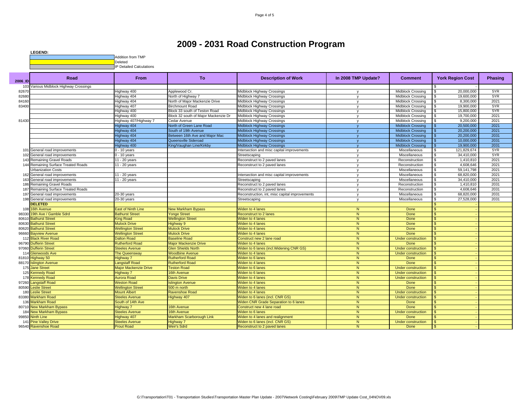

| Various Midblock Highway Crossings<br>103<br>Midblock Crossing<br>20.000.000<br>5YR<br>82670<br>Highway 400<br>Applewood Cr.<br>Midblock Highway Crossings<br>\$.<br>$\mathsf{v}$<br>5YR<br>Highway 404<br>Midblock Crossing<br>82680<br>North of Highway 7<br>Midblock Highway Crossings<br>19,600,000<br><b>V</b><br>2021<br>North of Major Mackenzie Drive<br>8.300.000<br>84160<br>lighway 404<br>Midblock Highway Crossings<br>Midblock Crossing<br>5YR<br>83400<br>Highway 407<br><b>Birchmount Road</b><br>Midblock Highway Crossings<br><b>Midblock Crossing</b><br>19,900,000<br>$\mathbf{v}$<br>5YR<br>Highway 400<br>Block 33 south of Teston Road<br>Midblock Highway Crossings<br>15,800,000<br><b>Midblock Crossing</b><br>$\mathbf{v}$<br>2021<br>Block 32 south of Major Mackenzie Dr<br>19,700,000<br>Highway 400<br>Midblock Highway Crossings<br><b>Midblock Crossing</b><br>$\mathbf v$<br>Highway 407/Highway 7<br>2021<br>Cedar Avenue<br>Midblock Highway Crossings<br>9,200,000<br>81430<br><b>Midblock Crossing</b><br>$\mathsf{v}$<br>2021<br>North of Green Lane Road<br><b>Midblock Crossing</b><br>20,500,000<br>Highway 404<br>Midblock Highway Crossings<br>2021<br>Highway 404<br>South of 19th Avenue<br><b>Midblock Highway Crossings</b><br><b>Midblock Crossing</b><br>20,200,000<br>2031<br>lighway 404<br>Between 16th Ave and Major Mac<br><b>Midblock Crossing</b><br>20,200,000<br>Midblock Highway Crossings<br>2031<br>lighway 404<br>Queensville Sideroad<br>Midblock Highway Crossings<br><b>Midblock Crossing</b><br>10.000.000<br>2031<br>19,900,000<br>Highway 400<br>King/Vaughan Line/Kirkby<br><b>Midblock Highway Crossings</b><br><b>Midblock Crossing</b><br>5YR<br>101 General road improvements<br>$0 - 10$ years<br>Miscellaneous<br>121,829,674<br>Intersection and misc capital improvements<br>$\mathbf{v}$<br>5YR<br>General road improvements<br>$-10$ years<br>34,410,000<br>Streetscaping<br>Miscellaneous<br>102<br>$\mathsf{v}$<br>143 Remaining Gravel Roads<br>1,410,810<br>2021<br>11 - 20 years<br>Reconstruct to 2 paved lanes<br>Reconstruction<br>$\mathbf v$<br>2021<br>Remaining Surface Treated Roads<br>11 - 20 years<br>Reconstruct to 2 paved lanes<br>Reconstruction<br>4,608,646<br>144<br><b>V</b><br>2021<br>59.141.798<br>Urbanization Costs<br>Miscellaneous<br>2021<br>General road improvements<br>11 - 20 years<br>68.820.000<br>162<br>ntersection and misc capital improvements<br>Miscellaneous<br>v<br>2021<br>34,410,000<br>163<br>General road improvements<br>11 - 20 years<br>Miscellaneous<br>Streetscaping<br>$\mathbf{v}$<br>2031<br>186 Remaining Gravel Roads<br>Reconstruct to 2 paved lanes<br>1,410,810<br>$\mathsf{v}$<br>Reconstruction<br>\$.<br>2031<br>4,608,646<br>187 Remaining Surface Treated Roads<br>Reconstruct to 2 paved lanes<br>Reconstruction<br>$\mathbf v$<br>2031<br>68,820,000<br>197 General road improvements<br>20-30 years<br>Miscellaneous<br>Reconstruction, int, misc capital improvements<br>$\mathbf v$<br>$20-30$ years<br>2031<br>198 General road improvements<br>Miscellaneous<br>27,528,000<br>Streetscaping<br>$\mathbf{v}$<br><b>DELETED</b><br>108 16th Avenue<br><b>East of Ninth Line</b><br>Widen to 4 lanes<br>$\overline{N}$<br>Done<br><b>New Markham Bypass</b><br>$\overline{N}$<br>19th Ave / Gamble Sdrd<br>Reconstruct to 2 lanes<br>Done<br>98330<br><b>Bathurst Street</b><br><b>Yonge Street</b><br><b>Bathurst Street</b><br>N<br>Done<br>80610<br><b>King Road</b><br><b>Wellington Street</b><br><b>Niden to 4 lanes</b><br>$\overline{N}$<br><b>Bathurst Street</b><br><b>Mulock Drive</b><br>Highway 9<br>Done<br>80630<br><b>Niden to 4 lanes</b><br>$\overline{N}$<br>Done<br>80620<br><b>Bathurst Street</b><br><b>Wellington Street</b><br><b>Mulock Drive</b><br><b>Widen to 4 lanes</b><br>$\overline{N}$<br>Done<br>96660<br><b>Bayview Avenue</b><br><b>Wellington Street</b><br><b>Mulock Drive</b><br>Viden to 4 lanes<br>112 Black River Road<br><b>Baseline Road</b><br>N<br><b>Dalton Road</b><br>Construct new 2 lane road<br>Under construction<br>\$.<br>$\overline{N}$<br>96790<br><b>Dufferin Street</b><br><b>Rutherford Road</b><br><b>Major Mackenzie Drive</b><br><b>Niden to 4 lanes</b><br>Done<br><b>Niden to 6 lanes (incl. Widening CNR GS)</b><br>$\overline{N}$<br>97060 Dufferin Street<br><b>Glen Shields North</b><br><b>Under construction</b><br><b>Steeles Avenue</b><br>$\overline{N}$<br>114<br><b>Glenwoods Ave</b><br><b>The Queensway</b><br><b>Woodbine Avenue</b><br><b>Niden to 4 lanes</b><br><b>Under construction</b><br>Highway 50<br>Highway 7<br><b>Rutherford Road</b><br>N<br>Done<br>81810<br><b>Niden to 6 lanes</b><br>88170 Islington Avenue<br>N<br>angstaff Road<br><b>Rutherford Road</b><br><b>Niden to 4 lanes</b><br>Done<br>175 Jane Street<br>$\overline{N}$<br><b>Major Mackenzie Drive</b><br><b>Feston Road</b><br><b>Niden to 6 lanes</b><br>Under construction<br>125 Kennedy Road<br>N<br>Highway 7<br>16th Avenue<br><b>Niden to 6 lanes</b><br>Under construction<br>178 Kennedy Road<br><b>Aurora Road</b><br>N<br><b>Davis Drive</b><br><b>Niden to 4 lanes</b><br><b>Under construction</b><br>$\overline{N}$<br>97260 Langstaff Road<br><b>Neston Road</b><br>Done<br>slington Avenue<br><b>Niden to 4 lanes</b><br>80590 Leslie Street<br>500 m north<br>N<br>Done<br><b>Wellington Street</b><br><b>Niden to 4 lanes</b><br>$\overline{N}$<br>180<br>eslie Street<br><b>Mount Albert</b><br>Viden to 4 lanes<br><b>Ravenshoe Road</b><br>Under construction<br>$\overline{N}$<br><b>Niden to 6 lanes (incl. CNR GS)</b><br>83380<br><b>Markham Road</b><br><b>Steeles Avenue</b><br>Highway 407<br><b>Under construction</b><br>$\overline{N}$<br><b>Markham Road</b><br>South of 14th Ave<br><b>Widen CNR Grade Separation to 6 lanes</b><br>Done<br>136<br>80710 New Markham Bypass<br>16th Avenue<br>N<br>Done<br>Highway 7<br>Construct new 4 lane road<br>\$.<br>184 New Markham Bypass<br>16th Avenue<br>N<br><b>Steeles Avenue</b><br><b>Niden to 6 lanes</b><br><b>Under construction</b><br>99850 Ninth Line<br>Markham Scarborough Link<br>Viden to 4 lanes and realignment<br>N<br>Done<br>Highway 407<br>141 Pine Valley Drive<br>Widen to 6 lanes (incl. CNR GS)<br>N<br><b>Steeles Avenue</b><br>Highway 7<br><b>Under construction</b><br><b>Weir's Sdrd</b><br>N<br>96540 Ravenshoe Road<br><b>Prout Road</b><br>Done<br>Reconstruct to 2 paved lanes | 2006 ID | Road | <b>From</b> | <b>To</b> | <b>Description of Work</b> | In 2008 TMP Update? | <b>Comment</b> | <b>York Region Cost</b> | <b>Phasing</b> |
|---------------------------------------------------------------------------------------------------------------------------------------------------------------------------------------------------------------------------------------------------------------------------------------------------------------------------------------------------------------------------------------------------------------------------------------------------------------------------------------------------------------------------------------------------------------------------------------------------------------------------------------------------------------------------------------------------------------------------------------------------------------------------------------------------------------------------------------------------------------------------------------------------------------------------------------------------------------------------------------------------------------------------------------------------------------------------------------------------------------------------------------------------------------------------------------------------------------------------------------------------------------------------------------------------------------------------------------------------------------------------------------------------------------------------------------------------------------------------------------------------------------------------------------------------------------------------------------------------------------------------------------------------------------------------------------------------------------------------------------------------------------------------------------------------------------------------------------------------------------------------------------------------------------------------------------------------------------------------------------------------------------------------------------------------------------------------------------------------------------------------------------------------------------------------------------------------------------------------------------------------------------------------------------------------------------------------------------------------------------------------------------------------------------------------------------------------------------------------------------------------------------------------------------------------------------------------------------------------------------------------------------------------------------------------------------------------------------------------------------------------------------------------------------------------------------------------------------------------------------------------------------------------------------------------------------------------------------------------------------------------------------------------------------------------------------------------------------------------------------------------------------------------------------------------------------------------------------------------------------------------------------------------------------------------------------------------------------------------------------------------------------------------------------------------------------------------------------------------------------------------------------------------------------------------------------------------------------------------------------------------------------------------------------------------------------------------------------------------------------------------------------------------------------------------------------------------------------------------------------------------------------------------------------------------------------------------------------------------------------------------------------------------------------------------------------------------------------------------------------------------------------------------------------------------------------------------------------------------------------------------------------------------------------------------------------------------------------------------------------------------------------------------------------------------------------------------------------------------------------------------------------------------------------------------------------------------------------------------------------------------------------------------------------------------------------------------------------------------------------------------------------------------------------------------------------------------------------------------------------------------------------------------------------------------------------------------------------------------------------------------------------------------------------------------------------------------------------------------------------------------------------------------------------------------------------------------------------------------------------------------------------------------------------------------------------------------------------------------------------------------------------------------------------------------------------------------------------------------------------------------------------------------------------------------------------------------------------------------------------------------------------------------------------------------------------------------------------------------------------------------------------------------------------------------------------------------------------------------------------------------------------------------------------------------------------------------------------------------------------------------------------------------------------------------------------------------------------------------------------------------------------------------------------------------------------------------------------------------------------------------------------------------------------------------------------------------------------------------------------------------------------------------------------------------------------------------------------------------------------------------------------------|---------|------|-------------|-----------|----------------------------|---------------------|----------------|-------------------------|----------------|
|                                                                                                                                                                                                                                                                                                                                                                                                                                                                                                                                                                                                                                                                                                                                                                                                                                                                                                                                                                                                                                                                                                                                                                                                                                                                                                                                                                                                                                                                                                                                                                                                                                                                                                                                                                                                                                                                                                                                                                                                                                                                                                                                                                                                                                                                                                                                                                                                                                                                                                                                                                                                                                                                                                                                                                                                                                                                                                                                                                                                                                                                                                                                                                                                                                                                                                                                                                                                                                                                                                                                                                                                                                                                                                                                                                                                                                                                                                                                                                                                                                                                                                                                                                                                                                                                                                                                                                                                                                                                                                                                                                                                                                                                                                                                                                                                                                                                                                                                                                                                                                                                                                                                                                                                                                                                                                                                                                                                                                                                                                                                                                                                                                                                                                                                                                                                                                                                                                                                                                                                                                                                                                                                                                                                                                                                                                                                                                                                                                                                                                                     |         |      |             |           |                            |                     |                |                         |                |
|                                                                                                                                                                                                                                                                                                                                                                                                                                                                                                                                                                                                                                                                                                                                                                                                                                                                                                                                                                                                                                                                                                                                                                                                                                                                                                                                                                                                                                                                                                                                                                                                                                                                                                                                                                                                                                                                                                                                                                                                                                                                                                                                                                                                                                                                                                                                                                                                                                                                                                                                                                                                                                                                                                                                                                                                                                                                                                                                                                                                                                                                                                                                                                                                                                                                                                                                                                                                                                                                                                                                                                                                                                                                                                                                                                                                                                                                                                                                                                                                                                                                                                                                                                                                                                                                                                                                                                                                                                                                                                                                                                                                                                                                                                                                                                                                                                                                                                                                                                                                                                                                                                                                                                                                                                                                                                                                                                                                                                                                                                                                                                                                                                                                                                                                                                                                                                                                                                                                                                                                                                                                                                                                                                                                                                                                                                                                                                                                                                                                                                                     |         |      |             |           |                            |                     |                |                         |                |
|                                                                                                                                                                                                                                                                                                                                                                                                                                                                                                                                                                                                                                                                                                                                                                                                                                                                                                                                                                                                                                                                                                                                                                                                                                                                                                                                                                                                                                                                                                                                                                                                                                                                                                                                                                                                                                                                                                                                                                                                                                                                                                                                                                                                                                                                                                                                                                                                                                                                                                                                                                                                                                                                                                                                                                                                                                                                                                                                                                                                                                                                                                                                                                                                                                                                                                                                                                                                                                                                                                                                                                                                                                                                                                                                                                                                                                                                                                                                                                                                                                                                                                                                                                                                                                                                                                                                                                                                                                                                                                                                                                                                                                                                                                                                                                                                                                                                                                                                                                                                                                                                                                                                                                                                                                                                                                                                                                                                                                                                                                                                                                                                                                                                                                                                                                                                                                                                                                                                                                                                                                                                                                                                                                                                                                                                                                                                                                                                                                                                                                                     |         |      |             |           |                            |                     |                |                         |                |
|                                                                                                                                                                                                                                                                                                                                                                                                                                                                                                                                                                                                                                                                                                                                                                                                                                                                                                                                                                                                                                                                                                                                                                                                                                                                                                                                                                                                                                                                                                                                                                                                                                                                                                                                                                                                                                                                                                                                                                                                                                                                                                                                                                                                                                                                                                                                                                                                                                                                                                                                                                                                                                                                                                                                                                                                                                                                                                                                                                                                                                                                                                                                                                                                                                                                                                                                                                                                                                                                                                                                                                                                                                                                                                                                                                                                                                                                                                                                                                                                                                                                                                                                                                                                                                                                                                                                                                                                                                                                                                                                                                                                                                                                                                                                                                                                                                                                                                                                                                                                                                                                                                                                                                                                                                                                                                                                                                                                                                                                                                                                                                                                                                                                                                                                                                                                                                                                                                                                                                                                                                                                                                                                                                                                                                                                                                                                                                                                                                                                                                                     |         |      |             |           |                            |                     |                |                         |                |
|                                                                                                                                                                                                                                                                                                                                                                                                                                                                                                                                                                                                                                                                                                                                                                                                                                                                                                                                                                                                                                                                                                                                                                                                                                                                                                                                                                                                                                                                                                                                                                                                                                                                                                                                                                                                                                                                                                                                                                                                                                                                                                                                                                                                                                                                                                                                                                                                                                                                                                                                                                                                                                                                                                                                                                                                                                                                                                                                                                                                                                                                                                                                                                                                                                                                                                                                                                                                                                                                                                                                                                                                                                                                                                                                                                                                                                                                                                                                                                                                                                                                                                                                                                                                                                                                                                                                                                                                                                                                                                                                                                                                                                                                                                                                                                                                                                                                                                                                                                                                                                                                                                                                                                                                                                                                                                                                                                                                                                                                                                                                                                                                                                                                                                                                                                                                                                                                                                                                                                                                                                                                                                                                                                                                                                                                                                                                                                                                                                                                                                                     |         |      |             |           |                            |                     |                |                         |                |
|                                                                                                                                                                                                                                                                                                                                                                                                                                                                                                                                                                                                                                                                                                                                                                                                                                                                                                                                                                                                                                                                                                                                                                                                                                                                                                                                                                                                                                                                                                                                                                                                                                                                                                                                                                                                                                                                                                                                                                                                                                                                                                                                                                                                                                                                                                                                                                                                                                                                                                                                                                                                                                                                                                                                                                                                                                                                                                                                                                                                                                                                                                                                                                                                                                                                                                                                                                                                                                                                                                                                                                                                                                                                                                                                                                                                                                                                                                                                                                                                                                                                                                                                                                                                                                                                                                                                                                                                                                                                                                                                                                                                                                                                                                                                                                                                                                                                                                                                                                                                                                                                                                                                                                                                                                                                                                                                                                                                                                                                                                                                                                                                                                                                                                                                                                                                                                                                                                                                                                                                                                                                                                                                                                                                                                                                                                                                                                                                                                                                                                                     |         |      |             |           |                            |                     |                |                         |                |
|                                                                                                                                                                                                                                                                                                                                                                                                                                                                                                                                                                                                                                                                                                                                                                                                                                                                                                                                                                                                                                                                                                                                                                                                                                                                                                                                                                                                                                                                                                                                                                                                                                                                                                                                                                                                                                                                                                                                                                                                                                                                                                                                                                                                                                                                                                                                                                                                                                                                                                                                                                                                                                                                                                                                                                                                                                                                                                                                                                                                                                                                                                                                                                                                                                                                                                                                                                                                                                                                                                                                                                                                                                                                                                                                                                                                                                                                                                                                                                                                                                                                                                                                                                                                                                                                                                                                                                                                                                                                                                                                                                                                                                                                                                                                                                                                                                                                                                                                                                                                                                                                                                                                                                                                                                                                                                                                                                                                                                                                                                                                                                                                                                                                                                                                                                                                                                                                                                                                                                                                                                                                                                                                                                                                                                                                                                                                                                                                                                                                                                                     |         |      |             |           |                            |                     |                |                         |                |
|                                                                                                                                                                                                                                                                                                                                                                                                                                                                                                                                                                                                                                                                                                                                                                                                                                                                                                                                                                                                                                                                                                                                                                                                                                                                                                                                                                                                                                                                                                                                                                                                                                                                                                                                                                                                                                                                                                                                                                                                                                                                                                                                                                                                                                                                                                                                                                                                                                                                                                                                                                                                                                                                                                                                                                                                                                                                                                                                                                                                                                                                                                                                                                                                                                                                                                                                                                                                                                                                                                                                                                                                                                                                                                                                                                                                                                                                                                                                                                                                                                                                                                                                                                                                                                                                                                                                                                                                                                                                                                                                                                                                                                                                                                                                                                                                                                                                                                                                                                                                                                                                                                                                                                                                                                                                                                                                                                                                                                                                                                                                                                                                                                                                                                                                                                                                                                                                                                                                                                                                                                                                                                                                                                                                                                                                                                                                                                                                                                                                                                                     |         |      |             |           |                            |                     |                |                         |                |
|                                                                                                                                                                                                                                                                                                                                                                                                                                                                                                                                                                                                                                                                                                                                                                                                                                                                                                                                                                                                                                                                                                                                                                                                                                                                                                                                                                                                                                                                                                                                                                                                                                                                                                                                                                                                                                                                                                                                                                                                                                                                                                                                                                                                                                                                                                                                                                                                                                                                                                                                                                                                                                                                                                                                                                                                                                                                                                                                                                                                                                                                                                                                                                                                                                                                                                                                                                                                                                                                                                                                                                                                                                                                                                                                                                                                                                                                                                                                                                                                                                                                                                                                                                                                                                                                                                                                                                                                                                                                                                                                                                                                                                                                                                                                                                                                                                                                                                                                                                                                                                                                                                                                                                                                                                                                                                                                                                                                                                                                                                                                                                                                                                                                                                                                                                                                                                                                                                                                                                                                                                                                                                                                                                                                                                                                                                                                                                                                                                                                                                                     |         |      |             |           |                            |                     |                |                         |                |
|                                                                                                                                                                                                                                                                                                                                                                                                                                                                                                                                                                                                                                                                                                                                                                                                                                                                                                                                                                                                                                                                                                                                                                                                                                                                                                                                                                                                                                                                                                                                                                                                                                                                                                                                                                                                                                                                                                                                                                                                                                                                                                                                                                                                                                                                                                                                                                                                                                                                                                                                                                                                                                                                                                                                                                                                                                                                                                                                                                                                                                                                                                                                                                                                                                                                                                                                                                                                                                                                                                                                                                                                                                                                                                                                                                                                                                                                                                                                                                                                                                                                                                                                                                                                                                                                                                                                                                                                                                                                                                                                                                                                                                                                                                                                                                                                                                                                                                                                                                                                                                                                                                                                                                                                                                                                                                                                                                                                                                                                                                                                                                                                                                                                                                                                                                                                                                                                                                                                                                                                                                                                                                                                                                                                                                                                                                                                                                                                                                                                                                                     |         |      |             |           |                            |                     |                |                         |                |
|                                                                                                                                                                                                                                                                                                                                                                                                                                                                                                                                                                                                                                                                                                                                                                                                                                                                                                                                                                                                                                                                                                                                                                                                                                                                                                                                                                                                                                                                                                                                                                                                                                                                                                                                                                                                                                                                                                                                                                                                                                                                                                                                                                                                                                                                                                                                                                                                                                                                                                                                                                                                                                                                                                                                                                                                                                                                                                                                                                                                                                                                                                                                                                                                                                                                                                                                                                                                                                                                                                                                                                                                                                                                                                                                                                                                                                                                                                                                                                                                                                                                                                                                                                                                                                                                                                                                                                                                                                                                                                                                                                                                                                                                                                                                                                                                                                                                                                                                                                                                                                                                                                                                                                                                                                                                                                                                                                                                                                                                                                                                                                                                                                                                                                                                                                                                                                                                                                                                                                                                                                                                                                                                                                                                                                                                                                                                                                                                                                                                                                                     |         |      |             |           |                            |                     |                |                         |                |
|                                                                                                                                                                                                                                                                                                                                                                                                                                                                                                                                                                                                                                                                                                                                                                                                                                                                                                                                                                                                                                                                                                                                                                                                                                                                                                                                                                                                                                                                                                                                                                                                                                                                                                                                                                                                                                                                                                                                                                                                                                                                                                                                                                                                                                                                                                                                                                                                                                                                                                                                                                                                                                                                                                                                                                                                                                                                                                                                                                                                                                                                                                                                                                                                                                                                                                                                                                                                                                                                                                                                                                                                                                                                                                                                                                                                                                                                                                                                                                                                                                                                                                                                                                                                                                                                                                                                                                                                                                                                                                                                                                                                                                                                                                                                                                                                                                                                                                                                                                                                                                                                                                                                                                                                                                                                                                                                                                                                                                                                                                                                                                                                                                                                                                                                                                                                                                                                                                                                                                                                                                                                                                                                                                                                                                                                                                                                                                                                                                                                                                                     |         |      |             |           |                            |                     |                |                         |                |
|                                                                                                                                                                                                                                                                                                                                                                                                                                                                                                                                                                                                                                                                                                                                                                                                                                                                                                                                                                                                                                                                                                                                                                                                                                                                                                                                                                                                                                                                                                                                                                                                                                                                                                                                                                                                                                                                                                                                                                                                                                                                                                                                                                                                                                                                                                                                                                                                                                                                                                                                                                                                                                                                                                                                                                                                                                                                                                                                                                                                                                                                                                                                                                                                                                                                                                                                                                                                                                                                                                                                                                                                                                                                                                                                                                                                                                                                                                                                                                                                                                                                                                                                                                                                                                                                                                                                                                                                                                                                                                                                                                                                                                                                                                                                                                                                                                                                                                                                                                                                                                                                                                                                                                                                                                                                                                                                                                                                                                                                                                                                                                                                                                                                                                                                                                                                                                                                                                                                                                                                                                                                                                                                                                                                                                                                                                                                                                                                                                                                                                                     |         |      |             |           |                            |                     |                |                         |                |
|                                                                                                                                                                                                                                                                                                                                                                                                                                                                                                                                                                                                                                                                                                                                                                                                                                                                                                                                                                                                                                                                                                                                                                                                                                                                                                                                                                                                                                                                                                                                                                                                                                                                                                                                                                                                                                                                                                                                                                                                                                                                                                                                                                                                                                                                                                                                                                                                                                                                                                                                                                                                                                                                                                                                                                                                                                                                                                                                                                                                                                                                                                                                                                                                                                                                                                                                                                                                                                                                                                                                                                                                                                                                                                                                                                                                                                                                                                                                                                                                                                                                                                                                                                                                                                                                                                                                                                                                                                                                                                                                                                                                                                                                                                                                                                                                                                                                                                                                                                                                                                                                                                                                                                                                                                                                                                                                                                                                                                                                                                                                                                                                                                                                                                                                                                                                                                                                                                                                                                                                                                                                                                                                                                                                                                                                                                                                                                                                                                                                                                                     |         |      |             |           |                            |                     |                |                         |                |
|                                                                                                                                                                                                                                                                                                                                                                                                                                                                                                                                                                                                                                                                                                                                                                                                                                                                                                                                                                                                                                                                                                                                                                                                                                                                                                                                                                                                                                                                                                                                                                                                                                                                                                                                                                                                                                                                                                                                                                                                                                                                                                                                                                                                                                                                                                                                                                                                                                                                                                                                                                                                                                                                                                                                                                                                                                                                                                                                                                                                                                                                                                                                                                                                                                                                                                                                                                                                                                                                                                                                                                                                                                                                                                                                                                                                                                                                                                                                                                                                                                                                                                                                                                                                                                                                                                                                                                                                                                                                                                                                                                                                                                                                                                                                                                                                                                                                                                                                                                                                                                                                                                                                                                                                                                                                                                                                                                                                                                                                                                                                                                                                                                                                                                                                                                                                                                                                                                                                                                                                                                                                                                                                                                                                                                                                                                                                                                                                                                                                                                                     |         |      |             |           |                            |                     |                |                         |                |
|                                                                                                                                                                                                                                                                                                                                                                                                                                                                                                                                                                                                                                                                                                                                                                                                                                                                                                                                                                                                                                                                                                                                                                                                                                                                                                                                                                                                                                                                                                                                                                                                                                                                                                                                                                                                                                                                                                                                                                                                                                                                                                                                                                                                                                                                                                                                                                                                                                                                                                                                                                                                                                                                                                                                                                                                                                                                                                                                                                                                                                                                                                                                                                                                                                                                                                                                                                                                                                                                                                                                                                                                                                                                                                                                                                                                                                                                                                                                                                                                                                                                                                                                                                                                                                                                                                                                                                                                                                                                                                                                                                                                                                                                                                                                                                                                                                                                                                                                                                                                                                                                                                                                                                                                                                                                                                                                                                                                                                                                                                                                                                                                                                                                                                                                                                                                                                                                                                                                                                                                                                                                                                                                                                                                                                                                                                                                                                                                                                                                                                                     |         |      |             |           |                            |                     |                |                         |                |
|                                                                                                                                                                                                                                                                                                                                                                                                                                                                                                                                                                                                                                                                                                                                                                                                                                                                                                                                                                                                                                                                                                                                                                                                                                                                                                                                                                                                                                                                                                                                                                                                                                                                                                                                                                                                                                                                                                                                                                                                                                                                                                                                                                                                                                                                                                                                                                                                                                                                                                                                                                                                                                                                                                                                                                                                                                                                                                                                                                                                                                                                                                                                                                                                                                                                                                                                                                                                                                                                                                                                                                                                                                                                                                                                                                                                                                                                                                                                                                                                                                                                                                                                                                                                                                                                                                                                                                                                                                                                                                                                                                                                                                                                                                                                                                                                                                                                                                                                                                                                                                                                                                                                                                                                                                                                                                                                                                                                                                                                                                                                                                                                                                                                                                                                                                                                                                                                                                                                                                                                                                                                                                                                                                                                                                                                                                                                                                                                                                                                                                                     |         |      |             |           |                            |                     |                |                         |                |
|                                                                                                                                                                                                                                                                                                                                                                                                                                                                                                                                                                                                                                                                                                                                                                                                                                                                                                                                                                                                                                                                                                                                                                                                                                                                                                                                                                                                                                                                                                                                                                                                                                                                                                                                                                                                                                                                                                                                                                                                                                                                                                                                                                                                                                                                                                                                                                                                                                                                                                                                                                                                                                                                                                                                                                                                                                                                                                                                                                                                                                                                                                                                                                                                                                                                                                                                                                                                                                                                                                                                                                                                                                                                                                                                                                                                                                                                                                                                                                                                                                                                                                                                                                                                                                                                                                                                                                                                                                                                                                                                                                                                                                                                                                                                                                                                                                                                                                                                                                                                                                                                                                                                                                                                                                                                                                                                                                                                                                                                                                                                                                                                                                                                                                                                                                                                                                                                                                                                                                                                                                                                                                                                                                                                                                                                                                                                                                                                                                                                                                                     |         |      |             |           |                            |                     |                |                         |                |
|                                                                                                                                                                                                                                                                                                                                                                                                                                                                                                                                                                                                                                                                                                                                                                                                                                                                                                                                                                                                                                                                                                                                                                                                                                                                                                                                                                                                                                                                                                                                                                                                                                                                                                                                                                                                                                                                                                                                                                                                                                                                                                                                                                                                                                                                                                                                                                                                                                                                                                                                                                                                                                                                                                                                                                                                                                                                                                                                                                                                                                                                                                                                                                                                                                                                                                                                                                                                                                                                                                                                                                                                                                                                                                                                                                                                                                                                                                                                                                                                                                                                                                                                                                                                                                                                                                                                                                                                                                                                                                                                                                                                                                                                                                                                                                                                                                                                                                                                                                                                                                                                                                                                                                                                                                                                                                                                                                                                                                                                                                                                                                                                                                                                                                                                                                                                                                                                                                                                                                                                                                                                                                                                                                                                                                                                                                                                                                                                                                                                                                                     |         |      |             |           |                            |                     |                |                         |                |
|                                                                                                                                                                                                                                                                                                                                                                                                                                                                                                                                                                                                                                                                                                                                                                                                                                                                                                                                                                                                                                                                                                                                                                                                                                                                                                                                                                                                                                                                                                                                                                                                                                                                                                                                                                                                                                                                                                                                                                                                                                                                                                                                                                                                                                                                                                                                                                                                                                                                                                                                                                                                                                                                                                                                                                                                                                                                                                                                                                                                                                                                                                                                                                                                                                                                                                                                                                                                                                                                                                                                                                                                                                                                                                                                                                                                                                                                                                                                                                                                                                                                                                                                                                                                                                                                                                                                                                                                                                                                                                                                                                                                                                                                                                                                                                                                                                                                                                                                                                                                                                                                                                                                                                                                                                                                                                                                                                                                                                                                                                                                                                                                                                                                                                                                                                                                                                                                                                                                                                                                                                                                                                                                                                                                                                                                                                                                                                                                                                                                                                                     |         |      |             |           |                            |                     |                |                         |                |
|                                                                                                                                                                                                                                                                                                                                                                                                                                                                                                                                                                                                                                                                                                                                                                                                                                                                                                                                                                                                                                                                                                                                                                                                                                                                                                                                                                                                                                                                                                                                                                                                                                                                                                                                                                                                                                                                                                                                                                                                                                                                                                                                                                                                                                                                                                                                                                                                                                                                                                                                                                                                                                                                                                                                                                                                                                                                                                                                                                                                                                                                                                                                                                                                                                                                                                                                                                                                                                                                                                                                                                                                                                                                                                                                                                                                                                                                                                                                                                                                                                                                                                                                                                                                                                                                                                                                                                                                                                                                                                                                                                                                                                                                                                                                                                                                                                                                                                                                                                                                                                                                                                                                                                                                                                                                                                                                                                                                                                                                                                                                                                                                                                                                                                                                                                                                                                                                                                                                                                                                                                                                                                                                                                                                                                                                                                                                                                                                                                                                                                                     |         |      |             |           |                            |                     |                |                         |                |
|                                                                                                                                                                                                                                                                                                                                                                                                                                                                                                                                                                                                                                                                                                                                                                                                                                                                                                                                                                                                                                                                                                                                                                                                                                                                                                                                                                                                                                                                                                                                                                                                                                                                                                                                                                                                                                                                                                                                                                                                                                                                                                                                                                                                                                                                                                                                                                                                                                                                                                                                                                                                                                                                                                                                                                                                                                                                                                                                                                                                                                                                                                                                                                                                                                                                                                                                                                                                                                                                                                                                                                                                                                                                                                                                                                                                                                                                                                                                                                                                                                                                                                                                                                                                                                                                                                                                                                                                                                                                                                                                                                                                                                                                                                                                                                                                                                                                                                                                                                                                                                                                                                                                                                                                                                                                                                                                                                                                                                                                                                                                                                                                                                                                                                                                                                                                                                                                                                                                                                                                                                                                                                                                                                                                                                                                                                                                                                                                                                                                                                                     |         |      |             |           |                            |                     |                |                         |                |
|                                                                                                                                                                                                                                                                                                                                                                                                                                                                                                                                                                                                                                                                                                                                                                                                                                                                                                                                                                                                                                                                                                                                                                                                                                                                                                                                                                                                                                                                                                                                                                                                                                                                                                                                                                                                                                                                                                                                                                                                                                                                                                                                                                                                                                                                                                                                                                                                                                                                                                                                                                                                                                                                                                                                                                                                                                                                                                                                                                                                                                                                                                                                                                                                                                                                                                                                                                                                                                                                                                                                                                                                                                                                                                                                                                                                                                                                                                                                                                                                                                                                                                                                                                                                                                                                                                                                                                                                                                                                                                                                                                                                                                                                                                                                                                                                                                                                                                                                                                                                                                                                                                                                                                                                                                                                                                                                                                                                                                                                                                                                                                                                                                                                                                                                                                                                                                                                                                                                                                                                                                                                                                                                                                                                                                                                                                                                                                                                                                                                                                                     |         |      |             |           |                            |                     |                |                         |                |
|                                                                                                                                                                                                                                                                                                                                                                                                                                                                                                                                                                                                                                                                                                                                                                                                                                                                                                                                                                                                                                                                                                                                                                                                                                                                                                                                                                                                                                                                                                                                                                                                                                                                                                                                                                                                                                                                                                                                                                                                                                                                                                                                                                                                                                                                                                                                                                                                                                                                                                                                                                                                                                                                                                                                                                                                                                                                                                                                                                                                                                                                                                                                                                                                                                                                                                                                                                                                                                                                                                                                                                                                                                                                                                                                                                                                                                                                                                                                                                                                                                                                                                                                                                                                                                                                                                                                                                                                                                                                                                                                                                                                                                                                                                                                                                                                                                                                                                                                                                                                                                                                                                                                                                                                                                                                                                                                                                                                                                                                                                                                                                                                                                                                                                                                                                                                                                                                                                                                                                                                                                                                                                                                                                                                                                                                                                                                                                                                                                                                                                                     |         |      |             |           |                            |                     |                |                         |                |
|                                                                                                                                                                                                                                                                                                                                                                                                                                                                                                                                                                                                                                                                                                                                                                                                                                                                                                                                                                                                                                                                                                                                                                                                                                                                                                                                                                                                                                                                                                                                                                                                                                                                                                                                                                                                                                                                                                                                                                                                                                                                                                                                                                                                                                                                                                                                                                                                                                                                                                                                                                                                                                                                                                                                                                                                                                                                                                                                                                                                                                                                                                                                                                                                                                                                                                                                                                                                                                                                                                                                                                                                                                                                                                                                                                                                                                                                                                                                                                                                                                                                                                                                                                                                                                                                                                                                                                                                                                                                                                                                                                                                                                                                                                                                                                                                                                                                                                                                                                                                                                                                                                                                                                                                                                                                                                                                                                                                                                                                                                                                                                                                                                                                                                                                                                                                                                                                                                                                                                                                                                                                                                                                                                                                                                                                                                                                                                                                                                                                                                                     |         |      |             |           |                            |                     |                |                         |                |
|                                                                                                                                                                                                                                                                                                                                                                                                                                                                                                                                                                                                                                                                                                                                                                                                                                                                                                                                                                                                                                                                                                                                                                                                                                                                                                                                                                                                                                                                                                                                                                                                                                                                                                                                                                                                                                                                                                                                                                                                                                                                                                                                                                                                                                                                                                                                                                                                                                                                                                                                                                                                                                                                                                                                                                                                                                                                                                                                                                                                                                                                                                                                                                                                                                                                                                                                                                                                                                                                                                                                                                                                                                                                                                                                                                                                                                                                                                                                                                                                                                                                                                                                                                                                                                                                                                                                                                                                                                                                                                                                                                                                                                                                                                                                                                                                                                                                                                                                                                                                                                                                                                                                                                                                                                                                                                                                                                                                                                                                                                                                                                                                                                                                                                                                                                                                                                                                                                                                                                                                                                                                                                                                                                                                                                                                                                                                                                                                                                                                                                                     |         |      |             |           |                            |                     |                |                         |                |
|                                                                                                                                                                                                                                                                                                                                                                                                                                                                                                                                                                                                                                                                                                                                                                                                                                                                                                                                                                                                                                                                                                                                                                                                                                                                                                                                                                                                                                                                                                                                                                                                                                                                                                                                                                                                                                                                                                                                                                                                                                                                                                                                                                                                                                                                                                                                                                                                                                                                                                                                                                                                                                                                                                                                                                                                                                                                                                                                                                                                                                                                                                                                                                                                                                                                                                                                                                                                                                                                                                                                                                                                                                                                                                                                                                                                                                                                                                                                                                                                                                                                                                                                                                                                                                                                                                                                                                                                                                                                                                                                                                                                                                                                                                                                                                                                                                                                                                                                                                                                                                                                                                                                                                                                                                                                                                                                                                                                                                                                                                                                                                                                                                                                                                                                                                                                                                                                                                                                                                                                                                                                                                                                                                                                                                                                                                                                                                                                                                                                                                                     |         |      |             |           |                            |                     |                |                         |                |
|                                                                                                                                                                                                                                                                                                                                                                                                                                                                                                                                                                                                                                                                                                                                                                                                                                                                                                                                                                                                                                                                                                                                                                                                                                                                                                                                                                                                                                                                                                                                                                                                                                                                                                                                                                                                                                                                                                                                                                                                                                                                                                                                                                                                                                                                                                                                                                                                                                                                                                                                                                                                                                                                                                                                                                                                                                                                                                                                                                                                                                                                                                                                                                                                                                                                                                                                                                                                                                                                                                                                                                                                                                                                                                                                                                                                                                                                                                                                                                                                                                                                                                                                                                                                                                                                                                                                                                                                                                                                                                                                                                                                                                                                                                                                                                                                                                                                                                                                                                                                                                                                                                                                                                                                                                                                                                                                                                                                                                                                                                                                                                                                                                                                                                                                                                                                                                                                                                                                                                                                                                                                                                                                                                                                                                                                                                                                                                                                                                                                                                                     |         |      |             |           |                            |                     |                |                         |                |
|                                                                                                                                                                                                                                                                                                                                                                                                                                                                                                                                                                                                                                                                                                                                                                                                                                                                                                                                                                                                                                                                                                                                                                                                                                                                                                                                                                                                                                                                                                                                                                                                                                                                                                                                                                                                                                                                                                                                                                                                                                                                                                                                                                                                                                                                                                                                                                                                                                                                                                                                                                                                                                                                                                                                                                                                                                                                                                                                                                                                                                                                                                                                                                                                                                                                                                                                                                                                                                                                                                                                                                                                                                                                                                                                                                                                                                                                                                                                                                                                                                                                                                                                                                                                                                                                                                                                                                                                                                                                                                                                                                                                                                                                                                                                                                                                                                                                                                                                                                                                                                                                                                                                                                                                                                                                                                                                                                                                                                                                                                                                                                                                                                                                                                                                                                                                                                                                                                                                                                                                                                                                                                                                                                                                                                                                                                                                                                                                                                                                                                                     |         |      |             |           |                            |                     |                |                         |                |
|                                                                                                                                                                                                                                                                                                                                                                                                                                                                                                                                                                                                                                                                                                                                                                                                                                                                                                                                                                                                                                                                                                                                                                                                                                                                                                                                                                                                                                                                                                                                                                                                                                                                                                                                                                                                                                                                                                                                                                                                                                                                                                                                                                                                                                                                                                                                                                                                                                                                                                                                                                                                                                                                                                                                                                                                                                                                                                                                                                                                                                                                                                                                                                                                                                                                                                                                                                                                                                                                                                                                                                                                                                                                                                                                                                                                                                                                                                                                                                                                                                                                                                                                                                                                                                                                                                                                                                                                                                                                                                                                                                                                                                                                                                                                                                                                                                                                                                                                                                                                                                                                                                                                                                                                                                                                                                                                                                                                                                                                                                                                                                                                                                                                                                                                                                                                                                                                                                                                                                                                                                                                                                                                                                                                                                                                                                                                                                                                                                                                                                                     |         |      |             |           |                            |                     |                |                         |                |
|                                                                                                                                                                                                                                                                                                                                                                                                                                                                                                                                                                                                                                                                                                                                                                                                                                                                                                                                                                                                                                                                                                                                                                                                                                                                                                                                                                                                                                                                                                                                                                                                                                                                                                                                                                                                                                                                                                                                                                                                                                                                                                                                                                                                                                                                                                                                                                                                                                                                                                                                                                                                                                                                                                                                                                                                                                                                                                                                                                                                                                                                                                                                                                                                                                                                                                                                                                                                                                                                                                                                                                                                                                                                                                                                                                                                                                                                                                                                                                                                                                                                                                                                                                                                                                                                                                                                                                                                                                                                                                                                                                                                                                                                                                                                                                                                                                                                                                                                                                                                                                                                                                                                                                                                                                                                                                                                                                                                                                                                                                                                                                                                                                                                                                                                                                                                                                                                                                                                                                                                                                                                                                                                                                                                                                                                                                                                                                                                                                                                                                                     |         |      |             |           |                            |                     |                |                         |                |
|                                                                                                                                                                                                                                                                                                                                                                                                                                                                                                                                                                                                                                                                                                                                                                                                                                                                                                                                                                                                                                                                                                                                                                                                                                                                                                                                                                                                                                                                                                                                                                                                                                                                                                                                                                                                                                                                                                                                                                                                                                                                                                                                                                                                                                                                                                                                                                                                                                                                                                                                                                                                                                                                                                                                                                                                                                                                                                                                                                                                                                                                                                                                                                                                                                                                                                                                                                                                                                                                                                                                                                                                                                                                                                                                                                                                                                                                                                                                                                                                                                                                                                                                                                                                                                                                                                                                                                                                                                                                                                                                                                                                                                                                                                                                                                                                                                                                                                                                                                                                                                                                                                                                                                                                                                                                                                                                                                                                                                                                                                                                                                                                                                                                                                                                                                                                                                                                                                                                                                                                                                                                                                                                                                                                                                                                                                                                                                                                                                                                                                                     |         |      |             |           |                            |                     |                |                         |                |
|                                                                                                                                                                                                                                                                                                                                                                                                                                                                                                                                                                                                                                                                                                                                                                                                                                                                                                                                                                                                                                                                                                                                                                                                                                                                                                                                                                                                                                                                                                                                                                                                                                                                                                                                                                                                                                                                                                                                                                                                                                                                                                                                                                                                                                                                                                                                                                                                                                                                                                                                                                                                                                                                                                                                                                                                                                                                                                                                                                                                                                                                                                                                                                                                                                                                                                                                                                                                                                                                                                                                                                                                                                                                                                                                                                                                                                                                                                                                                                                                                                                                                                                                                                                                                                                                                                                                                                                                                                                                                                                                                                                                                                                                                                                                                                                                                                                                                                                                                                                                                                                                                                                                                                                                                                                                                                                                                                                                                                                                                                                                                                                                                                                                                                                                                                                                                                                                                                                                                                                                                                                                                                                                                                                                                                                                                                                                                                                                                                                                                                                     |         |      |             |           |                            |                     |                |                         |                |
|                                                                                                                                                                                                                                                                                                                                                                                                                                                                                                                                                                                                                                                                                                                                                                                                                                                                                                                                                                                                                                                                                                                                                                                                                                                                                                                                                                                                                                                                                                                                                                                                                                                                                                                                                                                                                                                                                                                                                                                                                                                                                                                                                                                                                                                                                                                                                                                                                                                                                                                                                                                                                                                                                                                                                                                                                                                                                                                                                                                                                                                                                                                                                                                                                                                                                                                                                                                                                                                                                                                                                                                                                                                                                                                                                                                                                                                                                                                                                                                                                                                                                                                                                                                                                                                                                                                                                                                                                                                                                                                                                                                                                                                                                                                                                                                                                                                                                                                                                                                                                                                                                                                                                                                                                                                                                                                                                                                                                                                                                                                                                                                                                                                                                                                                                                                                                                                                                                                                                                                                                                                                                                                                                                                                                                                                                                                                                                                                                                                                                                                     |         |      |             |           |                            |                     |                |                         |                |
|                                                                                                                                                                                                                                                                                                                                                                                                                                                                                                                                                                                                                                                                                                                                                                                                                                                                                                                                                                                                                                                                                                                                                                                                                                                                                                                                                                                                                                                                                                                                                                                                                                                                                                                                                                                                                                                                                                                                                                                                                                                                                                                                                                                                                                                                                                                                                                                                                                                                                                                                                                                                                                                                                                                                                                                                                                                                                                                                                                                                                                                                                                                                                                                                                                                                                                                                                                                                                                                                                                                                                                                                                                                                                                                                                                                                                                                                                                                                                                                                                                                                                                                                                                                                                                                                                                                                                                                                                                                                                                                                                                                                                                                                                                                                                                                                                                                                                                                                                                                                                                                                                                                                                                                                                                                                                                                                                                                                                                                                                                                                                                                                                                                                                                                                                                                                                                                                                                                                                                                                                                                                                                                                                                                                                                                                                                                                                                                                                                                                                                                     |         |      |             |           |                            |                     |                |                         |                |
|                                                                                                                                                                                                                                                                                                                                                                                                                                                                                                                                                                                                                                                                                                                                                                                                                                                                                                                                                                                                                                                                                                                                                                                                                                                                                                                                                                                                                                                                                                                                                                                                                                                                                                                                                                                                                                                                                                                                                                                                                                                                                                                                                                                                                                                                                                                                                                                                                                                                                                                                                                                                                                                                                                                                                                                                                                                                                                                                                                                                                                                                                                                                                                                                                                                                                                                                                                                                                                                                                                                                                                                                                                                                                                                                                                                                                                                                                                                                                                                                                                                                                                                                                                                                                                                                                                                                                                                                                                                                                                                                                                                                                                                                                                                                                                                                                                                                                                                                                                                                                                                                                                                                                                                                                                                                                                                                                                                                                                                                                                                                                                                                                                                                                                                                                                                                                                                                                                                                                                                                                                                                                                                                                                                                                                                                                                                                                                                                                                                                                                                     |         |      |             |           |                            |                     |                |                         |                |
|                                                                                                                                                                                                                                                                                                                                                                                                                                                                                                                                                                                                                                                                                                                                                                                                                                                                                                                                                                                                                                                                                                                                                                                                                                                                                                                                                                                                                                                                                                                                                                                                                                                                                                                                                                                                                                                                                                                                                                                                                                                                                                                                                                                                                                                                                                                                                                                                                                                                                                                                                                                                                                                                                                                                                                                                                                                                                                                                                                                                                                                                                                                                                                                                                                                                                                                                                                                                                                                                                                                                                                                                                                                                                                                                                                                                                                                                                                                                                                                                                                                                                                                                                                                                                                                                                                                                                                                                                                                                                                                                                                                                                                                                                                                                                                                                                                                                                                                                                                                                                                                                                                                                                                                                                                                                                                                                                                                                                                                                                                                                                                                                                                                                                                                                                                                                                                                                                                                                                                                                                                                                                                                                                                                                                                                                                                                                                                                                                                                                                                                     |         |      |             |           |                            |                     |                |                         |                |
|                                                                                                                                                                                                                                                                                                                                                                                                                                                                                                                                                                                                                                                                                                                                                                                                                                                                                                                                                                                                                                                                                                                                                                                                                                                                                                                                                                                                                                                                                                                                                                                                                                                                                                                                                                                                                                                                                                                                                                                                                                                                                                                                                                                                                                                                                                                                                                                                                                                                                                                                                                                                                                                                                                                                                                                                                                                                                                                                                                                                                                                                                                                                                                                                                                                                                                                                                                                                                                                                                                                                                                                                                                                                                                                                                                                                                                                                                                                                                                                                                                                                                                                                                                                                                                                                                                                                                                                                                                                                                                                                                                                                                                                                                                                                                                                                                                                                                                                                                                                                                                                                                                                                                                                                                                                                                                                                                                                                                                                                                                                                                                                                                                                                                                                                                                                                                                                                                                                                                                                                                                                                                                                                                                                                                                                                                                                                                                                                                                                                                                                     |         |      |             |           |                            |                     |                |                         |                |
|                                                                                                                                                                                                                                                                                                                                                                                                                                                                                                                                                                                                                                                                                                                                                                                                                                                                                                                                                                                                                                                                                                                                                                                                                                                                                                                                                                                                                                                                                                                                                                                                                                                                                                                                                                                                                                                                                                                                                                                                                                                                                                                                                                                                                                                                                                                                                                                                                                                                                                                                                                                                                                                                                                                                                                                                                                                                                                                                                                                                                                                                                                                                                                                                                                                                                                                                                                                                                                                                                                                                                                                                                                                                                                                                                                                                                                                                                                                                                                                                                                                                                                                                                                                                                                                                                                                                                                                                                                                                                                                                                                                                                                                                                                                                                                                                                                                                                                                                                                                                                                                                                                                                                                                                                                                                                                                                                                                                                                                                                                                                                                                                                                                                                                                                                                                                                                                                                                                                                                                                                                                                                                                                                                                                                                                                                                                                                                                                                                                                                                                     |         |      |             |           |                            |                     |                |                         |                |
|                                                                                                                                                                                                                                                                                                                                                                                                                                                                                                                                                                                                                                                                                                                                                                                                                                                                                                                                                                                                                                                                                                                                                                                                                                                                                                                                                                                                                                                                                                                                                                                                                                                                                                                                                                                                                                                                                                                                                                                                                                                                                                                                                                                                                                                                                                                                                                                                                                                                                                                                                                                                                                                                                                                                                                                                                                                                                                                                                                                                                                                                                                                                                                                                                                                                                                                                                                                                                                                                                                                                                                                                                                                                                                                                                                                                                                                                                                                                                                                                                                                                                                                                                                                                                                                                                                                                                                                                                                                                                                                                                                                                                                                                                                                                                                                                                                                                                                                                                                                                                                                                                                                                                                                                                                                                                                                                                                                                                                                                                                                                                                                                                                                                                                                                                                                                                                                                                                                                                                                                                                                                                                                                                                                                                                                                                                                                                                                                                                                                                                                     |         |      |             |           |                            |                     |                |                         |                |
|                                                                                                                                                                                                                                                                                                                                                                                                                                                                                                                                                                                                                                                                                                                                                                                                                                                                                                                                                                                                                                                                                                                                                                                                                                                                                                                                                                                                                                                                                                                                                                                                                                                                                                                                                                                                                                                                                                                                                                                                                                                                                                                                                                                                                                                                                                                                                                                                                                                                                                                                                                                                                                                                                                                                                                                                                                                                                                                                                                                                                                                                                                                                                                                                                                                                                                                                                                                                                                                                                                                                                                                                                                                                                                                                                                                                                                                                                                                                                                                                                                                                                                                                                                                                                                                                                                                                                                                                                                                                                                                                                                                                                                                                                                                                                                                                                                                                                                                                                                                                                                                                                                                                                                                                                                                                                                                                                                                                                                                                                                                                                                                                                                                                                                                                                                                                                                                                                                                                                                                                                                                                                                                                                                                                                                                                                                                                                                                                                                                                                                                     |         |      |             |           |                            |                     |                |                         |                |
|                                                                                                                                                                                                                                                                                                                                                                                                                                                                                                                                                                                                                                                                                                                                                                                                                                                                                                                                                                                                                                                                                                                                                                                                                                                                                                                                                                                                                                                                                                                                                                                                                                                                                                                                                                                                                                                                                                                                                                                                                                                                                                                                                                                                                                                                                                                                                                                                                                                                                                                                                                                                                                                                                                                                                                                                                                                                                                                                                                                                                                                                                                                                                                                                                                                                                                                                                                                                                                                                                                                                                                                                                                                                                                                                                                                                                                                                                                                                                                                                                                                                                                                                                                                                                                                                                                                                                                                                                                                                                                                                                                                                                                                                                                                                                                                                                                                                                                                                                                                                                                                                                                                                                                                                                                                                                                                                                                                                                                                                                                                                                                                                                                                                                                                                                                                                                                                                                                                                                                                                                                                                                                                                                                                                                                                                                                                                                                                                                                                                                                                     |         |      |             |           |                            |                     |                |                         |                |
|                                                                                                                                                                                                                                                                                                                                                                                                                                                                                                                                                                                                                                                                                                                                                                                                                                                                                                                                                                                                                                                                                                                                                                                                                                                                                                                                                                                                                                                                                                                                                                                                                                                                                                                                                                                                                                                                                                                                                                                                                                                                                                                                                                                                                                                                                                                                                                                                                                                                                                                                                                                                                                                                                                                                                                                                                                                                                                                                                                                                                                                                                                                                                                                                                                                                                                                                                                                                                                                                                                                                                                                                                                                                                                                                                                                                                                                                                                                                                                                                                                                                                                                                                                                                                                                                                                                                                                                                                                                                                                                                                                                                                                                                                                                                                                                                                                                                                                                                                                                                                                                                                                                                                                                                                                                                                                                                                                                                                                                                                                                                                                                                                                                                                                                                                                                                                                                                                                                                                                                                                                                                                                                                                                                                                                                                                                                                                                                                                                                                                                                     |         |      |             |           |                            |                     |                |                         |                |
|                                                                                                                                                                                                                                                                                                                                                                                                                                                                                                                                                                                                                                                                                                                                                                                                                                                                                                                                                                                                                                                                                                                                                                                                                                                                                                                                                                                                                                                                                                                                                                                                                                                                                                                                                                                                                                                                                                                                                                                                                                                                                                                                                                                                                                                                                                                                                                                                                                                                                                                                                                                                                                                                                                                                                                                                                                                                                                                                                                                                                                                                                                                                                                                                                                                                                                                                                                                                                                                                                                                                                                                                                                                                                                                                                                                                                                                                                                                                                                                                                                                                                                                                                                                                                                                                                                                                                                                                                                                                                                                                                                                                                                                                                                                                                                                                                                                                                                                                                                                                                                                                                                                                                                                                                                                                                                                                                                                                                                                                                                                                                                                                                                                                                                                                                                                                                                                                                                                                                                                                                                                                                                                                                                                                                                                                                                                                                                                                                                                                                                                     |         |      |             |           |                            |                     |                |                         |                |
|                                                                                                                                                                                                                                                                                                                                                                                                                                                                                                                                                                                                                                                                                                                                                                                                                                                                                                                                                                                                                                                                                                                                                                                                                                                                                                                                                                                                                                                                                                                                                                                                                                                                                                                                                                                                                                                                                                                                                                                                                                                                                                                                                                                                                                                                                                                                                                                                                                                                                                                                                                                                                                                                                                                                                                                                                                                                                                                                                                                                                                                                                                                                                                                                                                                                                                                                                                                                                                                                                                                                                                                                                                                                                                                                                                                                                                                                                                                                                                                                                                                                                                                                                                                                                                                                                                                                                                                                                                                                                                                                                                                                                                                                                                                                                                                                                                                                                                                                                                                                                                                                                                                                                                                                                                                                                                                                                                                                                                                                                                                                                                                                                                                                                                                                                                                                                                                                                                                                                                                                                                                                                                                                                                                                                                                                                                                                                                                                                                                                                                                     |         |      |             |           |                            |                     |                |                         |                |
|                                                                                                                                                                                                                                                                                                                                                                                                                                                                                                                                                                                                                                                                                                                                                                                                                                                                                                                                                                                                                                                                                                                                                                                                                                                                                                                                                                                                                                                                                                                                                                                                                                                                                                                                                                                                                                                                                                                                                                                                                                                                                                                                                                                                                                                                                                                                                                                                                                                                                                                                                                                                                                                                                                                                                                                                                                                                                                                                                                                                                                                                                                                                                                                                                                                                                                                                                                                                                                                                                                                                                                                                                                                                                                                                                                                                                                                                                                                                                                                                                                                                                                                                                                                                                                                                                                                                                                                                                                                                                                                                                                                                                                                                                                                                                                                                                                                                                                                                                                                                                                                                                                                                                                                                                                                                                                                                                                                                                                                                                                                                                                                                                                                                                                                                                                                                                                                                                                                                                                                                                                                                                                                                                                                                                                                                                                                                                                                                                                                                                                                     |         |      |             |           |                            |                     |                |                         |                |
|                                                                                                                                                                                                                                                                                                                                                                                                                                                                                                                                                                                                                                                                                                                                                                                                                                                                                                                                                                                                                                                                                                                                                                                                                                                                                                                                                                                                                                                                                                                                                                                                                                                                                                                                                                                                                                                                                                                                                                                                                                                                                                                                                                                                                                                                                                                                                                                                                                                                                                                                                                                                                                                                                                                                                                                                                                                                                                                                                                                                                                                                                                                                                                                                                                                                                                                                                                                                                                                                                                                                                                                                                                                                                                                                                                                                                                                                                                                                                                                                                                                                                                                                                                                                                                                                                                                                                                                                                                                                                                                                                                                                                                                                                                                                                                                                                                                                                                                                                                                                                                                                                                                                                                                                                                                                                                                                                                                                                                                                                                                                                                                                                                                                                                                                                                                                                                                                                                                                                                                                                                                                                                                                                                                                                                                                                                                                                                                                                                                                                                                     |         |      |             |           |                            |                     |                |                         |                |
|                                                                                                                                                                                                                                                                                                                                                                                                                                                                                                                                                                                                                                                                                                                                                                                                                                                                                                                                                                                                                                                                                                                                                                                                                                                                                                                                                                                                                                                                                                                                                                                                                                                                                                                                                                                                                                                                                                                                                                                                                                                                                                                                                                                                                                                                                                                                                                                                                                                                                                                                                                                                                                                                                                                                                                                                                                                                                                                                                                                                                                                                                                                                                                                                                                                                                                                                                                                                                                                                                                                                                                                                                                                                                                                                                                                                                                                                                                                                                                                                                                                                                                                                                                                                                                                                                                                                                                                                                                                                                                                                                                                                                                                                                                                                                                                                                                                                                                                                                                                                                                                                                                                                                                                                                                                                                                                                                                                                                                                                                                                                                                                                                                                                                                                                                                                                                                                                                                                                                                                                                                                                                                                                                                                                                                                                                                                                                                                                                                                                                                                     |         |      |             |           |                            |                     |                |                         |                |
|                                                                                                                                                                                                                                                                                                                                                                                                                                                                                                                                                                                                                                                                                                                                                                                                                                                                                                                                                                                                                                                                                                                                                                                                                                                                                                                                                                                                                                                                                                                                                                                                                                                                                                                                                                                                                                                                                                                                                                                                                                                                                                                                                                                                                                                                                                                                                                                                                                                                                                                                                                                                                                                                                                                                                                                                                                                                                                                                                                                                                                                                                                                                                                                                                                                                                                                                                                                                                                                                                                                                                                                                                                                                                                                                                                                                                                                                                                                                                                                                                                                                                                                                                                                                                                                                                                                                                                                                                                                                                                                                                                                                                                                                                                                                                                                                                                                                                                                                                                                                                                                                                                                                                                                                                                                                                                                                                                                                                                                                                                                                                                                                                                                                                                                                                                                                                                                                                                                                                                                                                                                                                                                                                                                                                                                                                                                                                                                                                                                                                                                     |         |      |             |           |                            |                     |                |                         |                |
|                                                                                                                                                                                                                                                                                                                                                                                                                                                                                                                                                                                                                                                                                                                                                                                                                                                                                                                                                                                                                                                                                                                                                                                                                                                                                                                                                                                                                                                                                                                                                                                                                                                                                                                                                                                                                                                                                                                                                                                                                                                                                                                                                                                                                                                                                                                                                                                                                                                                                                                                                                                                                                                                                                                                                                                                                                                                                                                                                                                                                                                                                                                                                                                                                                                                                                                                                                                                                                                                                                                                                                                                                                                                                                                                                                                                                                                                                                                                                                                                                                                                                                                                                                                                                                                                                                                                                                                                                                                                                                                                                                                                                                                                                                                                                                                                                                                                                                                                                                                                                                                                                                                                                                                                                                                                                                                                                                                                                                                                                                                                                                                                                                                                                                                                                                                                                                                                                                                                                                                                                                                                                                                                                                                                                                                                                                                                                                                                                                                                                                                     |         |      |             |           |                            |                     |                |                         |                |